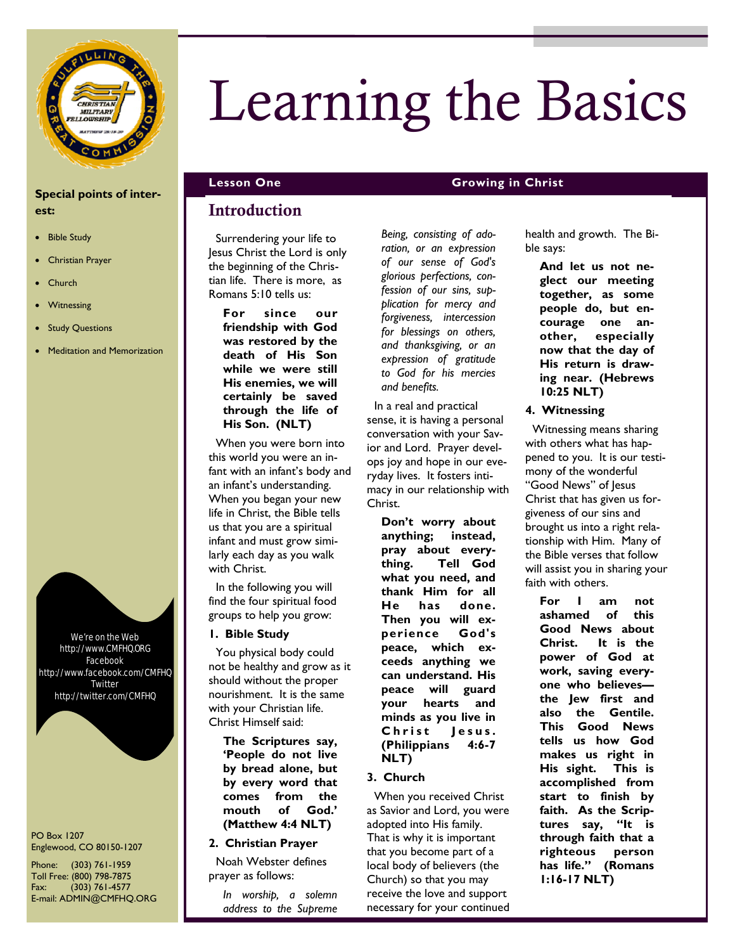

- Bible Study
- Christian Prayer
- Church
- **Witnessing**
- Study Questions
- Meditation and Memorization



PO Box 1207 Englewood, CO 80150-1207

Phone: (303) 761-1959 Toll Free: (800) 798-7875 Fax: (303) 761-4577 E-mail: ADMIN@CMFHQ.ORG

# Learning the Basics

#### **Lesson One** Growing in Christ

# Introduction

Surrendering your life to Jesus Christ the Lord is only the beginning of the Christian life. There is more, as Romans 5:10 tells us:

**For since our friendship with God was restored by the death of His Son while we were still His enemies, we will certainly be saved through the life of His Son. (NLT)** 

When you were born into this world you were an infant with an infant's body and an infant's understanding. When you began your new life in Christ, the Bible tells us that you are a spiritual infant and must grow similarly each day as you walk with Christ.

In the following you will find the four spiritual food groups to help you grow:

#### **1. Bible Study**

You physical body could not be healthy and grow as it should without the proper nourishment. It is the same with your Christian life. Christ Himself said:

**The Scriptures say, 'People do not live by bread alone, but by every word that comes from the mouth of God.' (Matthew 4:4 NLT)** 

#### **2. Christian Prayer**

Noah Webster defines prayer as follows:

> *In worship, a solemn address to the Supreme*

*Being, consisting of adoration, or an expression of our sense of God's glorious perfections, confession of our sins, supplication for mercy and forgiveness, intercession for blessings on others, and thanksgiving, or an expression of gratitude to God for his mercies and benefits.* 

In a real and practical sense, it is having a personal conversation with your Savior and Lord. Prayer develops joy and hope in our everyday lives. It fosters intimacy in our relationship with Christ.

**Don't worry about anything; instead, pray about everything. Tell God what you need, and thank Him for all He has done. Then you will experience God's peace, which exceeds anything we can understand. His peace will guard your hearts and minds as you live in Christ Jesus. (Philippians 4:6-7 NLT)** 

#### **3. Church**

When you received Christ as Savior and Lord, you were adopted into His family. That is why it is important that you become part of a local body of believers (the Church) so that you may receive the love and support necessary for your continued health and growth. The Bible says:

**And let us not neglect our meeting together, as some people do, but encourage one another, especially now that the day of His return is drawing near. (Hebrews 10:25 NLT)** 

#### **4. Witnessing**

Witnessing means sharing with others what has happened to you. It is our testimony of the wonderful "Good News" of Jesus Christ that has given us forgiveness of our sins and brought us into a right relationship with Him. Many of the Bible verses that follow will assist you in sharing your faith with others.

**For I am not ashamed of this Good News about Christ. It is the power of God at work, saving everyone who believes the Jew first and also the Gentile. This Good News tells us how God makes us right in His sight. This is accomplished from start to finish by faith. As the Scriptures say, "It is through faith that a righteous person has life." (Romans 1:16-17 NLT)**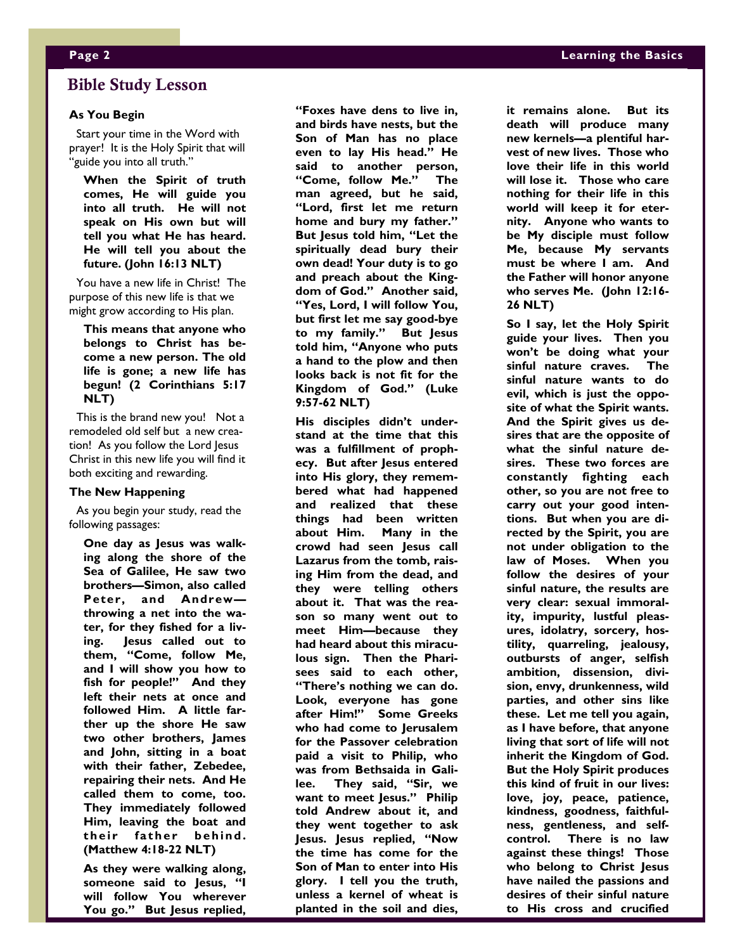# Bible Study Lesson

#### **As You Begin**

Start your time in the Word with prayer! It is the Holy Spirit that will "guide you into all truth."

**When the Spirit of truth comes, He will guide you into all truth. He will not speak on His own but will tell you what He has heard. He will tell you about the future. (John 16:13 NLT)** 

You have a new life in Christ! The purpose of this new life is that we might grow according to His plan.

**This means that anyone who belongs to Christ has become a new person. The old life is gone; a new life has begun! (2 Corinthians 5:17 NLT)** 

This is the brand new you! Not a remodeled old self but a new creation! As you follow the Lord Jesus Christ in this new life you will find it both exciting and rewarding.

#### **The New Happening**

As you begin your study, read the following passages:

**One day as Jesus was walking along the shore of the Sea of Galilee, He saw two brothers—Simon, also called Peter, and Andrew throwing a net into the water, for they fished for a living. Jesus called out to them, "Come, follow Me, and I will show you how to fish for people!" And they left their nets at once and followed Him. A little farther up the shore He saw two other brothers, James and John, sitting in a boat with their father, Zebedee, repairing their nets. And He called them to come, too. They immediately followed Him, leaving the boat and**  their father behind. **(Matthew 4:18-22 NLT)** 

**As they were walking along, someone said to Jesus, "I will follow You wherever You go." But Jesus replied,** 

**"Foxes have dens to live in, and birds have nests, but the Son of Man has no place even to lay His head." He said to another person, "Come, follow Me." The man agreed, but he said, "Lord, first let me return home and bury my father." But Jesus told him, "Let the spiritually dead bury their own dead! Your duty is to go and preach about the Kingdom of God." Another said, "Yes, Lord, I will follow You, but first let me say good-bye to my family." But Jesus told him, "Anyone who puts a hand to the plow and then looks back is not fit for the Kingdom of God." (Luke 9:57-62 NLT)** 

**His disciples didn't understand at the time that this was a fulfillment of prophecy. But after Jesus entered into His glory, they remembered what had happened and realized that these things had been written about Him. Many in the crowd had seen Jesus call Lazarus from the tomb, raising Him from the dead, and they were telling others about it. That was the reason so many went out to meet Him—because they had heard about this miraculous sign. Then the Pharisees said to each other, "There's nothing we can do. Look, everyone has gone after Him!" Some Greeks who had come to Jerusalem for the Passover celebration paid a visit to Philip, who was from Bethsaida in Galilee. They said, "Sir, we want to meet Jesus." Philip told Andrew about it, and they went together to ask Jesus. Jesus replied, "Now the time has come for the Son of Man to enter into His glory. I tell you the truth, unless a kernel of wheat is planted in the soil and dies,** 

**it remains alone. But its death will produce many new kernels—a plentiful harvest of new lives. Those who love their life in this world will lose it. Those who care nothing for their life in this world will keep it for eternity. Anyone who wants to be My disciple must follow Me, because My servants must be where I am. And the Father will honor anyone who serves Me. (John 12:16- 26 NLT)** 

**So I say, let the Holy Spirit guide your lives. Then you won't be doing what your sinful nature craves. The sinful nature wants to do evil, which is just the opposite of what the Spirit wants. And the Spirit gives us desires that are the opposite of what the sinful nature desires. These two forces are constantly fighting each other, so you are not free to carry out your good intentions. But when you are directed by the Spirit, you are not under obligation to the law of Moses. When you follow the desires of your sinful nature, the results are very clear: sexual immorality, impurity, lustful pleasures, idolatry, sorcery, hostility, quarreling, jealousy, outbursts of anger, selfish ambition, dissension, division, envy, drunkenness, wild parties, and other sins like these. Let me tell you again, as I have before, that anyone living that sort of life will not inherit the Kingdom of God. But the Holy Spirit produces this kind of fruit in our lives: love, joy, peace, patience, kindness, goodness, faithfulness, gentleness, and selfcontrol. There is no law against these things! Those who belong to Christ Jesus have nailed the passions and desires of their sinful nature to His cross and crucified**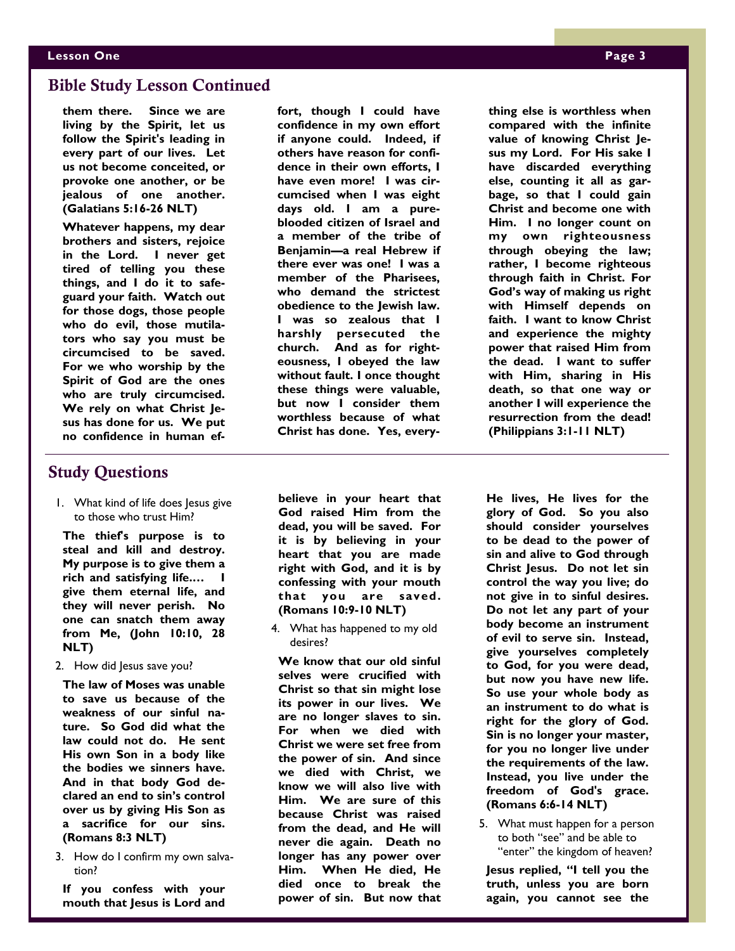# Bible Study Lesson Continued

**them there. Since we are living by the Spirit, let us follow the Spirit's leading in every part of our lives. Let us not become conceited, or provoke one another, or be jealous of one another. (Galatians 5:16-26 NLT)** 

**Whatever happens, my dear brothers and sisters, rejoice in the Lord. I never get tired of telling you these things, and I do it to safeguard your faith. Watch out for those dogs, those people who do evil, those mutilators who say you must be circumcised to be saved. For we who worship by the Spirit of God are the ones who are truly circumcised. We rely on what Christ Jesus has done for us. We put no confidence in human ef-**

# Study Questions

1. What kind of life does Jesus give to those who trust Him?

**The thief's purpose is to steal and kill and destroy. My purpose is to give them a rich and satisfying life.… I give them eternal life, and they will never perish. No one can snatch them away from Me, (John 10:10, 28 NLT)** 

2. How did Jesus save you?

**The law of Moses was unable to save us because of the weakness of our sinful nature. So God did what the law could not do. He sent His own Son in a body like the bodies we sinners have. And in that body God declared an end to sin's control over us by giving His Son as a sacrifice for our sins. (Romans 8:3 NLT)** 

3. How do I confirm my own salvation?

**If you confess with your mouth that Jesus is Lord and** 

**fort, though I could have confidence in my own effort if anyone could. Indeed, if others have reason for confidence in their own efforts, I have even more! I was circumcised when I was eight days old. I am a pureblooded citizen of Israel and a member of the tribe of Benjamin—a real Hebrew if there ever was one! I was a member of the Pharisees, who demand the strictest obedience to the Jewish law. I was so zealous that I harshly persecuted the church. And as for righteousness, I obeyed the law without fault. I once thought these things were valuable, but now I consider them worthless because of what Christ has done. Yes, every-**

**believe in your heart that God raised Him from the dead, you will be saved. For it is by believing in your heart that you are made right with God, and it is by confessing with your mouth that you are saved. (Romans 10:9-10 NLT)** 

4. What has happened to my old desires?

**We know that our old sinful selves were crucified with Christ so that sin might lose its power in our lives. We are no longer slaves to sin. For when we died with Christ we were set free from the power of sin. And since we died with Christ, we know we will also live with Him. We are sure of this because Christ was raised from the dead, and He will never die again. Death no longer has any power over Him. When He died, He died once to break the power of sin. But now that**  **thing else is worthless when compared with the infinite value of knowing Christ Jesus my Lord. For His sake I have discarded everything else, counting it all as garbage, so that I could gain Christ and become one with Him. I no longer count on my own righteousness through obeying the law; rather, I become righteous through faith in Christ. For God's way of making us right with Himself depends on faith. I want to know Christ and experience the mighty power that raised Him from the dead. I want to suffer with Him, sharing in His death, so that one way or another I will experience the resurrection from the dead! (Philippians 3:1-11 NLT)** 

**He lives, He lives for the glory of God. So you also should consider yourselves to be dead to the power of sin and alive to God through Christ Jesus. Do not let sin control the way you live; do not give in to sinful desires. Do not let any part of your body become an instrument of evil to serve sin. Instead, give yourselves completely to God, for you were dead, but now you have new life. So use your whole body as an instrument to do what is right for the glory of God. Sin is no longer your master, for you no longer live under the requirements of the law. Instead, you live under the freedom of God's grace. (Romans 6:6-14 NLT)** 

5. What must happen for a person to both "see" and be able to "enter" the kingdom of heaven?

**Jesus replied, "I tell you the truth, unless you are born again, you cannot see the**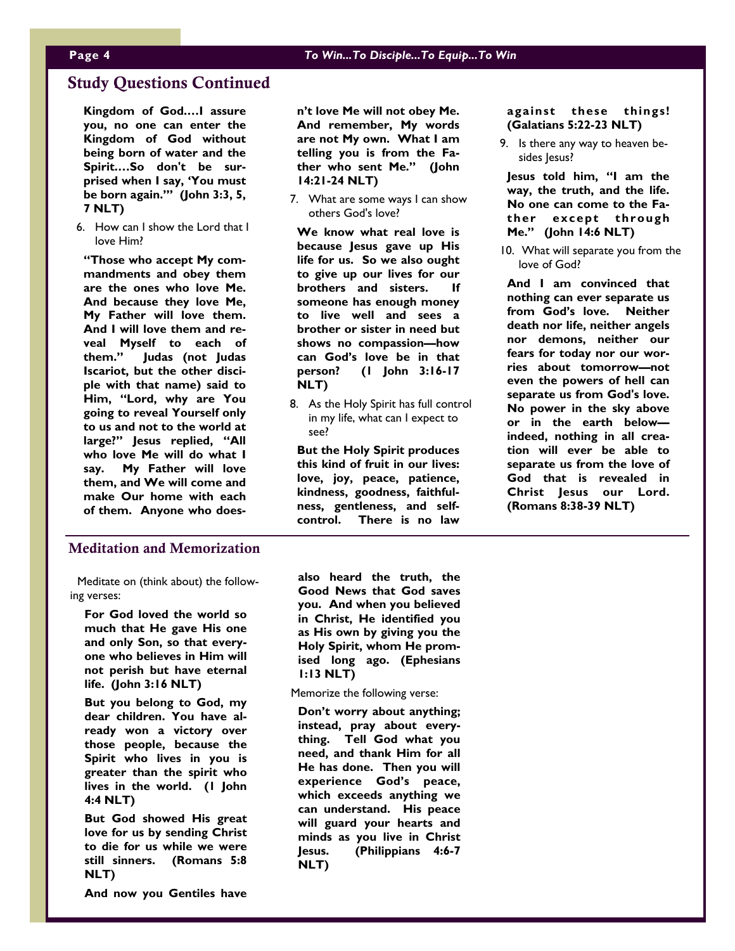# Study Questions Continued

**Kingdom of God.…I assure you, no one can enter the Kingdom of God without being born of water and the Spirit.…So don't be surprised when I say, 'You must be born again.'" (John 3:3, 5, 7 NLT)** 

6. How can I show the Lord that I love Him?

**"Those who accept My commandments and obey them are the ones who love Me. And because they love Me, My Father will love them. And I will love them and reveal Myself to each of them." Judas (not Judas Iscariot, but the other disciple with that name) said to Him, "Lord, why are You going to reveal Yourself only to us and not to the world at large?" Jesus replied, "All who love Me will do what I say. My Father will love them, and We will come and make Our home with each of them. Anyone who does-**

#### Meditation and Memorization

Meditate on (think about) the following verses:

**For God loved the world so much that He gave His one and only Son, so that everyone who believes in Him will not perish but have eternal life. (John 3:16 NLT)** 

**But you belong to God, my dear children. You have already won a victory over those people, because the Spirit who lives in you is greater than the spirit who lives in the world. (1 John 4:4 NLT)** 

**But God showed His great love for us by sending Christ to die for us while we were still sinners. (Romans 5:8 NLT)** 

**And now you Gentiles have** 

**n't love Me will not obey Me. And remember, My words are not My own. What I am telling you is from the Father who sent Me." (John 14:21-24 NLT)** 

7. What are some ways I can show others God's love?

**We know what real love is because Jesus gave up His life for us. So we also ought to give up our lives for our brothers and sisters. If someone has enough money to live well and sees a brother or sister in need but shows no compassion—how can God's love be in that person? (1 John 3:16-17 NLT)** 

8. As the Holy Spirit has full control in my life, what can I expect to see?

**But the Holy Spirit produces this kind of fruit in our lives: love, joy, peace, patience, kindness, goodness, faithfulness, gentleness, and selfcontrol. There is no law** 

#### **against these things! (Galatians 5:22-23 NLT)**

9. Is there any way to heaven besides Jesus?

**Jesus told him, "I am the way, the truth, and the life. No one can come to the Father except through Me." (John 14:6 NLT)** 

10. What will separate you from the love of God?

**And I am convinced that nothing can ever separate us from God's love. Neither death nor life, neither angels nor demons, neither our fears for today nor our worries about tomorrow—not even the powers of hell can separate us from God's love. No power in the sky above or in the earth below indeed, nothing in all creation will ever be able to separate us from the love of God that is revealed in Christ Jesus our Lord. (Romans 8:38-39 NLT)** 

**also heard the truth, the Good News that God saves you. And when you believed in Christ, He identified you as His own by giving you the Holy Spirit, whom He promised long ago. (Ephesians 1:13 NLT)** 

Memorize the following verse:

**Don't worry about anything; instead, pray about everything. Tell God what you need, and thank Him for all He has done. Then you will experience God's peace, which exceeds anything we can understand. His peace will guard your hearts and minds as you live in Christ Jesus. (Philippians 4:6-7 NLT)** 

#### **Page 4**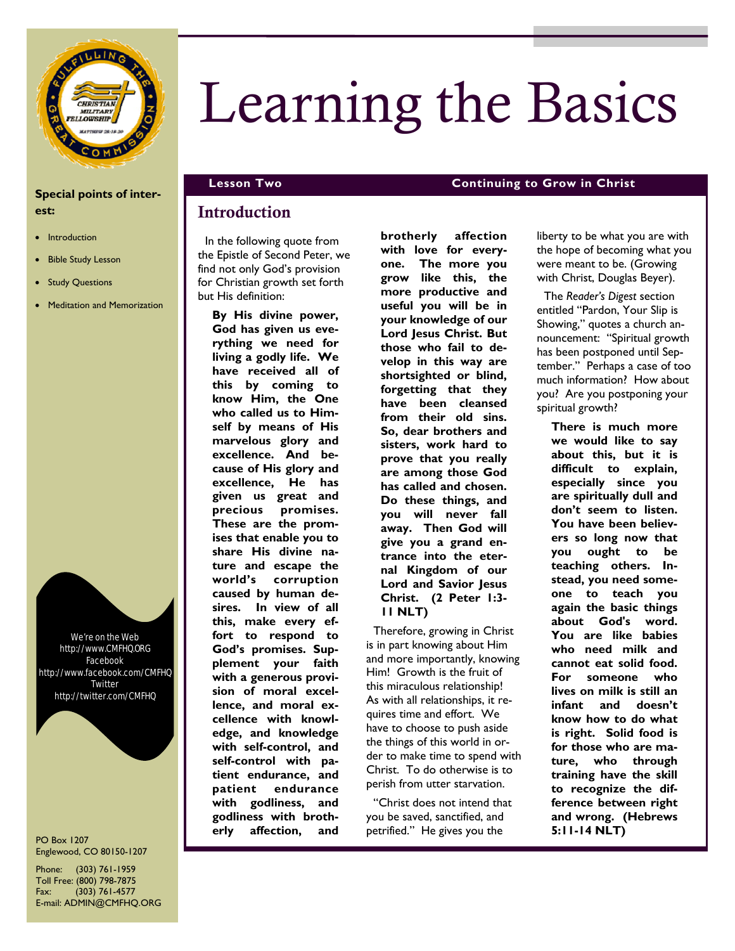

- Introduction
- Bible Study Lesson
- Study Questions
- Meditation and Memorization



PO Box 1207 Englewood, CO 80150-1207

Phone: (303) 761-1959 Toll Free: (800) 798-7875 Fax: (303) 761-4577 E-mail: ADMIN@CMFHQ.ORG

# Learning the Basics

Introduction

but His definition:

In the following quote from the Epistle of Second Peter, we find not only God's provision for Christian growth set forth

**By His divine power, God has given us everything we need for living a godly life. We have received all of this by coming to know Him, the One who called us to Himself by means of His marvelous glory and excellence. And because of His glory and excellence, He has given us great and precious promises. These are the promises that enable you to share His divine nature and escape the world's corruption caused by human desires. In view of all this, make every effort to respond to God's promises. Supplement your faith with a generous provision of moral excellence, and moral excellence with knowledge, and knowledge with self-control, and self-control with patient endurance, and patient endurance with godliness, and godliness with brotherly affection, and** 

#### **Lesson Two Continuing to Grow in Christ**

#### **brotherly affection with love for everyone. The more you grow like this, the more productive and useful you will be in your knowledge of our Lord Jesus Christ. But those who fail to develop in this way are shortsighted or blind, forgetting that they have been cleansed from their old sins. So, dear brothers and sisters, work hard to prove that you really are among those God has called and chosen. Do these things, and you will never fall away. Then God will give you a grand entrance into the eternal Kingdom of our Lord and Savior Jesus Christ. (2 Peter 1:3- 11 NLT)**

Therefore, growing in Christ is in part knowing about Him and more importantly, knowing Him! Growth is the fruit of this miraculous relationship! As with all relationships, it requires time and effort. We have to choose to push aside the things of this world in order to make time to spend with Christ. To do otherwise is to perish from utter starvation.

"Christ does not intend that you be saved, sanctified, and petrified." He gives you the

liberty to be what you are with the hope of becoming what you were meant to be. (Growing with Christ, Douglas Beyer).

The *Reader's Digest* section entitled "Pardon, Your Slip is Showing," quotes a church announcement: "Spiritual growth has been postponed until September." Perhaps a case of too much information? How about you? Are you postponing your spiritual growth?

**There is much more we would like to say about this, but it is difficult to explain, especially since you are spiritually dull and don't seem to listen. You have been believers so long now that you ought to be teaching others. Instead, you need someone to teach you again the basic things about God's word. You are like babies who need milk and cannot eat solid food. For someone who lives on milk is still an infant and doesn't know how to do what is right. Solid food is for those who are mature, who through training have the skill to recognize the difference between right and wrong. (Hebrews 5:11-14 NLT)**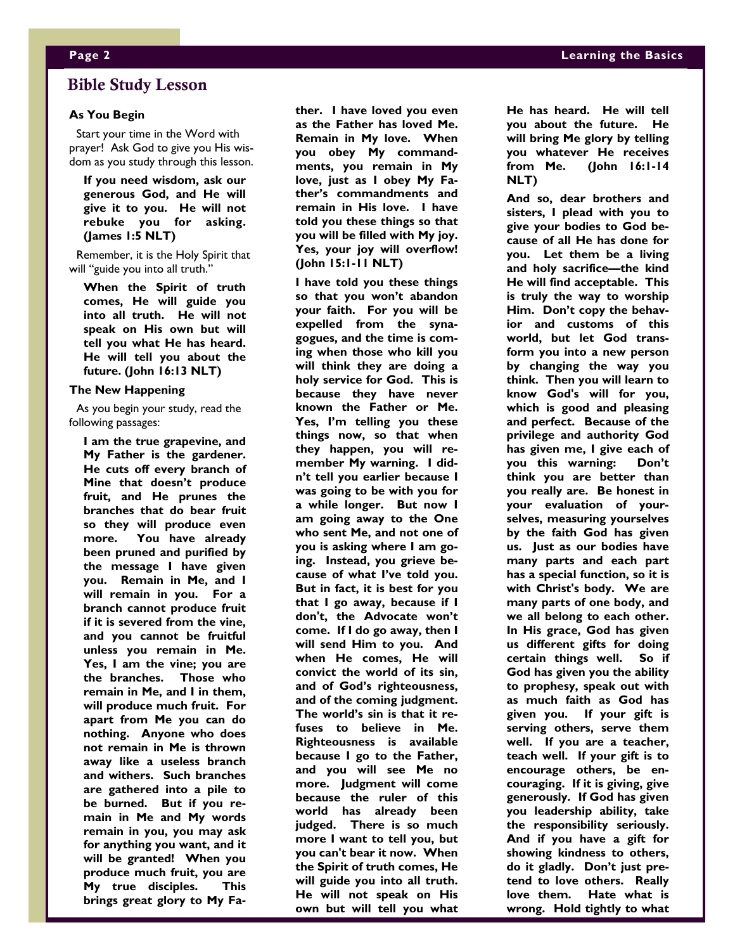# Bible Study Lesson

#### **As You Begin**

Start your time in the Word with prayer! Ask God to give you His wisdom as you study through this lesson.

**If you need wisdom, ask our generous God, and He will give it to you. He will not rebuke you for asking. (James 1:5 NLT)** 

Remember, it is the Holy Spirit that will "guide you into all truth."

**When the Spirit of truth comes, He will guide you into all truth. He will not speak on His own but will tell you what He has heard. He will tell you about the future. (John 16:13 NLT)** 

#### **The New Happening**

As you begin your study, read the following passages:

**I am the true grapevine, and My Father is the gardener. He cuts off every branch of Mine that doesn't produce fruit, and He prunes the branches that do bear fruit so they will produce even more. You have already been pruned and purified by the message I have given you. Remain in Me, and I will remain in you. For a branch cannot produce fruit if it is severed from the vine, and you cannot be fruitful unless you remain in Me. Yes, I am the vine; you are the branches. Those who remain in Me, and I in them, will produce much fruit. For apart from Me you can do nothing. Anyone who does not remain in Me is thrown away like a useless branch and withers. Such branches are gathered into a pile to be burned. But if you remain in Me and My words remain in you, you may ask for anything you want, and it will be granted! When you produce much fruit, you are My true disciples. This brings great glory to My Fa-** **ther. I have loved you even as the Father has loved Me. Remain in My love. When you obey My commandments, you remain in My love, just as I obey My Father's commandments and remain in His love. I have told you these things so that you will be filled with My joy. Yes, your joy will overflow! (John 15:1-11 NLT)** 

**I have told you these things so that you won't abandon your faith. For you will be expelled from the synagogues, and the time is coming when those who kill you will think they are doing a holy service for God. This is because they have never known the Father or Me. Yes, I'm telling you these things now, so that when they happen, you will remember My warning. I didn't tell you earlier because I was going to be with you for a while longer. But now I am going away to the One who sent Me, and not one of you is asking where I am going. Instead, you grieve because of what I've told you. But in fact, it is best for you that I go away, because if I don't, the Advocate won't come. If I do go away, then I will send Him to you. And when He comes, He will convict the world of its sin, and of God's righteousness, and of the coming judgment. The world's sin is that it refuses to believe in Me. Righteousness is available because I go to the Father, and you will see Me no more. Judgment will come because the ruler of this world has already been judged. There is so much more I want to tell you, but you can't bear it now. When the Spirit of truth comes, He will guide you into all truth. He will not speak on His own but will tell you what** 

**He has heard. He will tell you about the future. He will bring Me glory by telling you whatever He receives from Me. (John 16:1-14 NLT)** 

**And so, dear brothers and sisters, I plead with you to give your bodies to God because of all He has done for you. Let them be a living and holy sacrifice—the kind He will find acceptable. This is truly the way to worship Him. Don't copy the behavior and customs of this world, but let God transform you into a new person by changing the way you think. Then you will learn to know God's will for you, which is good and pleasing and perfect. Because of the privilege and authority God has given me, I give each of you this warning: Don't think you are better than you really are. Be honest in your evaluation of yourselves, measuring yourselves by the faith God has given us. Just as our bodies have many parts and each part has a special function, so it is with Christ's body. We are many parts of one body, and we all belong to each other. In His grace, God has given us different gifts for doing certain things well. So if God has given you the ability to prophesy, speak out with as much faith as God has given you. If your gift is serving others, serve them well. If you are a teacher, teach well. If your gift is to encourage others, be encouraging. If it is giving, give generously. If God has given you leadership ability, take the responsibility seriously. And if you have a gift for showing kindness to others, do it gladly. Don't just pretend to love others. Really love them. Hate what is wrong. Hold tightly to what**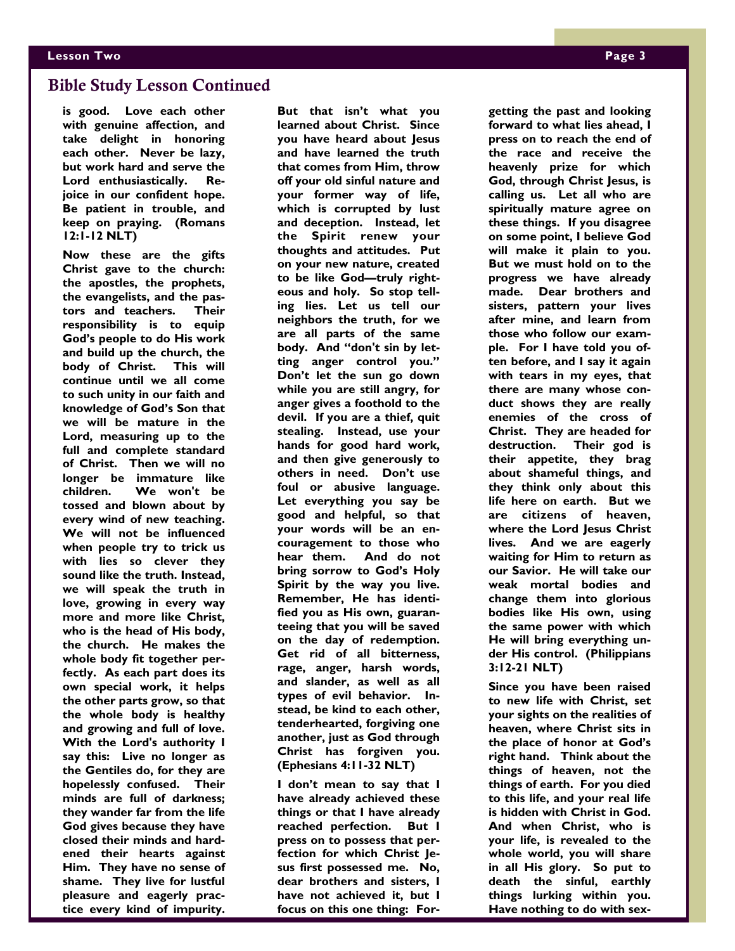# Bible Study Lesson Continued

**is good. Love each other with genuine affection, and take delight in honoring each other. Never be lazy, but work hard and serve the Lord enthusiastically. Rejoice in our confident hope. Be patient in trouble, and keep on praying. (Romans 12:1-12 NLT)** 

**Now these are the gifts Christ gave to the church: the apostles, the prophets, the evangelists, and the pastors and teachers. Their responsibility is to equip God's people to do His work and build up the church, the body of Christ. This will continue until we all come to such unity in our faith and knowledge of God's Son that we will be mature in the Lord, measuring up to the full and complete standard of Christ. Then we will no longer be immature like children. We won't be tossed and blown about by every wind of new teaching. We will not be influenced when people try to trick us with lies so clever they sound like the truth. Instead, we will speak the truth in love, growing in every way more and more like Christ, who is the head of His body, the church. He makes the whole body fit together perfectly. As each part does its own special work, it helps the other parts grow, so that the whole body is healthy and growing and full of love. With the Lord's authority I say this: Live no longer as the Gentiles do, for they are hopelessly confused. Their minds are full of darkness; they wander far from the life God gives because they have closed their minds and hardened their hearts against Him. They have no sense of shame. They live for lustful pleasure and eagerly practice every kind of impurity.**  **But that isn't what you learned about Christ. Since you have heard about Jesus and have learned the truth that comes from Him, throw off your old sinful nature and your former way of life, which is corrupted by lust and deception. Instead, let the Spirit renew your thoughts and attitudes. Put on your new nature, created to be like God—truly righteous and holy. So stop telling lies. Let us tell our neighbors the truth, for we are all parts of the same body. And "don't sin by letting anger control you." Don't let the sun go down while you are still angry, for anger gives a foothold to the devil. If you are a thief, quit stealing. Instead, use your hands for good hard work, and then give generously to others in need. Don't use foul or abusive language. Let everything you say be good and helpful, so that your words will be an encouragement to those who hear them. And do not bring sorrow to God's Holy Spirit by the way you live. Remember, He has identified you as His own, guaranteeing that you will be saved on the day of redemption. Get rid of all bitterness, rage, anger, harsh words, and slander, as well as all types of evil behavior. Instead, be kind to each other, tenderhearted, forgiving one another, just as God through Christ has forgiven you. (Ephesians 4:11-32 NLT)** 

**I don't mean to say that I have already achieved these things or that I have already reached perfection. But I press on to possess that perfection for which Christ Jesus first possessed me. No, dear brothers and sisters, I have not achieved it, but I focus on this one thing: For-** **getting the past and looking forward to what lies ahead, I press on to reach the end of the race and receive the heavenly prize for which God, through Christ Jesus, is calling us. Let all who are spiritually mature agree on these things. If you disagree on some point, I believe God will make it plain to you. But we must hold on to the progress we have already made. Dear brothers and sisters, pattern your lives after mine, and learn from those who follow our example. For I have told you often before, and I say it again with tears in my eyes, that there are many whose conduct shows they are really enemies of the cross of Christ. They are headed for destruction. Their god is their appetite, they brag about shameful things, and they think only about this life here on earth. But we are citizens of heaven, where the Lord Jesus Christ lives. And we are eagerly waiting for Him to return as our Savior. He will take our weak mortal bodies and change them into glorious bodies like His own, using the same power with which He will bring everything under His control. (Philippians 3:12-21 NLT)** 

**Since you have been raised to new life with Christ, set your sights on the realities of heaven, where Christ sits in the place of honor at God's right hand. Think about the things of heaven, not the things of earth. For you died to this life, and your real life is hidden with Christ in God. And when Christ, who is your life, is revealed to the whole world, you will share in all His glory. So put to death the sinful, earthly things lurking within you. Have nothing to do with sex-**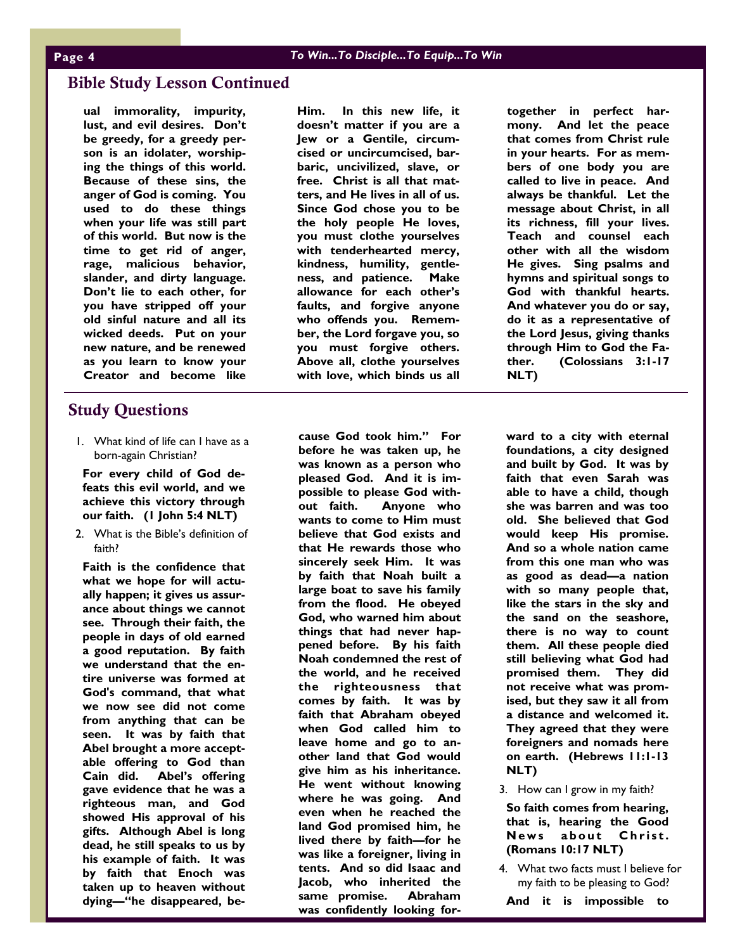#### Bible Study Lesson Continued

**ual immorality, impurity, lust, and evil desires. Don't be greedy, for a greedy person is an idolater, worshiping the things of this world. Because of these sins, the anger of God is coming. You used to do these things when your life was still part of this world. But now is the time to get rid of anger, rage, malicious behavior, slander, and dirty language. Don't lie to each other, for you have stripped off your old sinful nature and all its wicked deeds. Put on your new nature, and be renewed as you learn to know your Creator and become like** 

# Study Questions

1. What kind of life can I have as a born-again Christian?

**For every child of God defeats this evil world, and we achieve this victory through our faith. (1 John 5:4 NLT)** 

2. What is the Bible's definition of faith?

**Faith is the confidence that what we hope for will actually happen; it gives us assurance about things we cannot see. Through their faith, the people in days of old earned a good reputation. By faith we understand that the entire universe was formed at God's command, that what we now see did not come from anything that can be seen. It was by faith that Abel brought a more acceptable offering to God than Cain did. Abel's offering gave evidence that he was a righteous man, and God showed His approval of his gifts. Although Abel is long dead, he still speaks to us by his example of faith. It was by faith that Enoch was taken up to heaven without dying—"he disappeared, be-**

**Him. In this new life, it doesn't matter if you are a Jew or a Gentile, circumcised or uncircumcised, barbaric, uncivilized, slave, or free. Christ is all that matters, and He lives in all of us. Since God chose you to be the holy people He loves, you must clothe yourselves with tenderhearted mercy, kindness, humility, gentleness, and patience. Make allowance for each other's faults, and forgive anyone who offends you. Remember, the Lord forgave you, so you must forgive others. Above all, clothe yourselves with love, which binds us all** 

**cause God took him." For before he was taken up, he was known as a person who pleased God. And it is impossible to please God without faith. Anyone who wants to come to Him must believe that God exists and that He rewards those who sincerely seek Him. It was by faith that Noah built a large boat to save his family from the flood. He obeyed God, who warned him about things that had never happened before. By his faith Noah condemned the rest of the world, and he received the righteousness that comes by faith. It was by faith that Abraham obeyed when God called him to leave home and go to another land that God would give him as his inheritance. He went without knowing where he was going. And even when he reached the land God promised him, he lived there by faith—for he was like a foreigner, living in tents. And so did Isaac and Jacob, who inherited the same promise. Abraham was confidently looking for-** **together in perfect harmony. And let the peace that comes from Christ rule in your hearts. For as members of one body you are called to live in peace. And always be thankful. Let the message about Christ, in all its richness, fill your lives. Teach and counsel each other with all the wisdom He gives. Sing psalms and hymns and spiritual songs to God with thankful hearts. And whatever you do or say, do it as a representative of the Lord Jesus, giving thanks through Him to God the Father. (Colossians 3:1-17 NLT)** 

**ward to a city with eternal foundations, a city designed and built by God. It was by faith that even Sarah was able to have a child, though she was barren and was too old. She believed that God would keep His promise. And so a whole nation came from this one man who was as good as dead—a nation with so many people that, like the stars in the sky and the sand on the seashore, there is no way to count them. All these people died still believing what God had promised them. They did not receive what was promised, but they saw it all from a distance and welcomed it. They agreed that they were foreigners and nomads here on earth. (Hebrews 11:1-13 NLT)** 

3. How can I grow in my faith?

**So faith comes from hearing, that is, hearing the Good News** about Christ. **(Romans 10:17 NLT)** 

4. What two facts must I believe for my faith to be pleasing to God?

**And it is impossible to**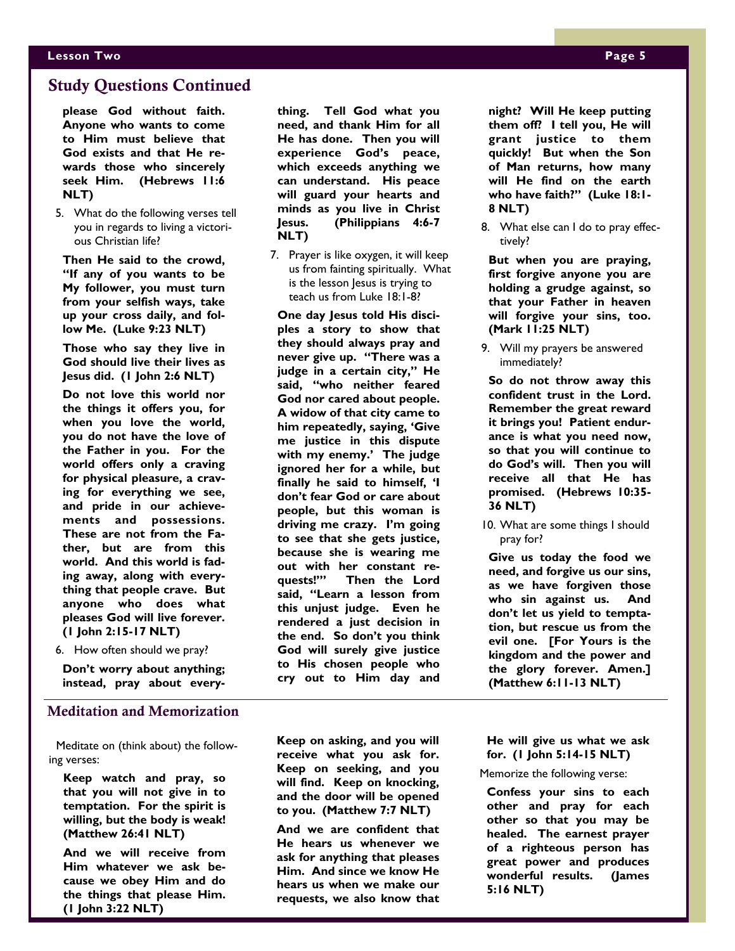# Study Questions Continued

**please God without faith. Anyone who wants to come to Him must believe that God exists and that He rewards those who sincerely seek Him. (Hebrews 11:6 NLT)** 

5. What do the following verses tell you in regards to living a victorious Christian life?

**Then He said to the crowd, "If any of you wants to be My follower, you must turn from your selfish ways, take up your cross daily, and follow Me. (Luke 9:23 NLT)** 

**Those who say they live in God should live their lives as Jesus did. (1 John 2:6 NLT)** 

**Do not love this world nor the things it offers you, for when you love the world, you do not have the love of the Father in you. For the world offers only a craving for physical pleasure, a craving for everything we see, and pride in our achievements and possessions. These are not from the Father, but are from this world. And this world is fading away, along with everything that people crave. But anyone who does what pleases God will live forever. (1 John 2:15-17 NLT)** 

6. How often should we pray?

**Don't worry about anything; instead, pray about every-**

#### Meditation and Memorization

Meditate on (think about) the following verses:

**Keep watch and pray, so that you will not give in to temptation. For the spirit is willing, but the body is weak! (Matthew 26:41 NLT)** 

**And we will receive from Him whatever we ask because we obey Him and do the things that please Him. (1 John 3:22 NLT)** 

**thing. Tell God what you need, and thank Him for all He has done. Then you will experience God's peace, which exceeds anything we can understand. His peace will guard your hearts and minds as you live in Christ Jesus. (Philippians 4:6-7 NLT)** 

7. Prayer is like oxygen, it will keep us from fainting spiritually. What is the lesson Jesus is trying to teach us from Luke 18:1-8?

**One day Jesus told His disciples a story to show that they should always pray and never give up. "There was a judge in a certain city," He said, "who neither feared God nor cared about people. A widow of that city came to him repeatedly, saying, 'Give me justice in this dispute with my enemy.' The judge ignored her for a while, but finally he said to himself, 'I don't fear God or care about people, but this woman is driving me crazy. I'm going to see that she gets justice, because she is wearing me out with her constant requests!'" Then the Lord said, "Learn a lesson from this unjust judge. Even he rendered a just decision in the end. So don't you think God will surely give justice to His chosen people who cry out to Him day and** 

**Keep on asking, and you will receive what you ask for. Keep on seeking, and you will find. Keep on knocking, and the door will be opened to you. (Matthew 7:7 NLT)** 

**And we are confident that He hears us whenever we ask for anything that pleases Him. And since we know He hears us when we make our requests, we also know that**  **night? Will He keep putting them off? I tell you, He will grant justice to them quickly! But when the Son of Man returns, how many will He find on the earth who have faith?" (Luke 18:1- 8 NLT)** 

8. What else can I do to pray effectively?

**But when you are praying, first forgive anyone you are holding a grudge against, so that your Father in heaven will forgive your sins, too. (Mark 11:25 NLT)** 

9. Will my prayers be answered immediately?

**So do not throw away this confident trust in the Lord. Remember the great reward it brings you! Patient endurance is what you need now, so that you will continue to do God's will. Then you will receive all that He has promised. (Hebrews 10:35- 36 NLT)** 

10. What are some things I should pray for?

**Give us today the food we need, and forgive us our sins, as we have forgiven those who sin against us. And don't let us yield to temptation, but rescue us from the evil one. [For Yours is the kingdom and the power and the glory forever. Amen.] (Matthew 6:11-13 NLT)** 

**He will give us what we ask for. (1 John 5:14-15 NLT)** 

Memorize the following verse:

**Confess your sins to each other and pray for each other so that you may be healed. The earnest prayer of a righteous person has great power and produces wonderful results. (James 5:16 NLT)**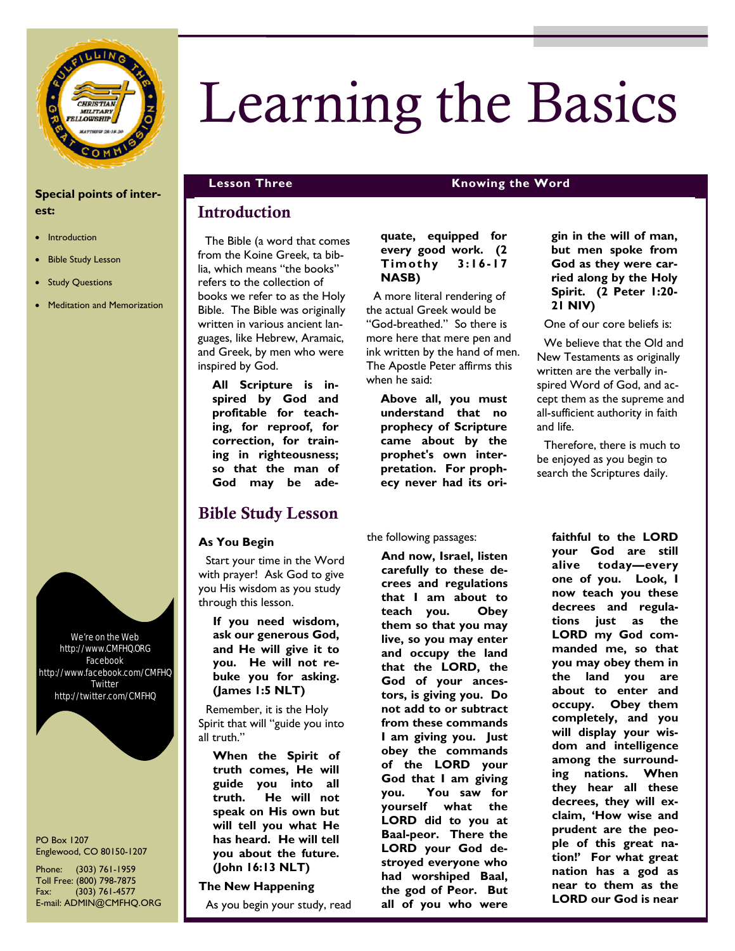

- Introduction
- Bible Study Lesson
- Study Questions
- Meditation and Memorization



PO Box 1207 Englewood, CO 80150-1207

Phone: (303) 761-1959 Toll Free: (800) 798-7875 Fax: (303) 761-4577 E-mail: ADMIN@CMFHQ.ORG

# Learning the Basics

#### **Lesson Three Knowing the Word**

# **Introduction**

The Bible (a word that comes from the Koine Greek, ta biblia, which means "the books" refers to the collection of books we refer to as the Holy Bible. The Bible was originally written in various ancient languages, like Hebrew, Aramaic, and Greek, by men who were inspired by God.

**All Scripture is inspired by God and profitable for teaching, for reproof, for correction, for training in righteousness; so that the man of God may be ade-**

# Bible Study Lesson

#### **As You Begin**

Start your time in the Word with prayer! Ask God to give you His wisdom as you study through this lesson.

**If you need wisdom, ask our generous God, and He will give it to you. He will not rebuke you for asking. (James 1:5 NLT)** 

Remember, it is the Holy Spirit that will "guide you into all truth."

**When the Spirit of truth comes, He will guide you into all truth. He will not speak on His own but will tell you what He has heard. He will tell you about the future. (John 16:13 NLT)** 

### **The New Happening**

As you begin your study, read

**quate, equipped for every good work. (2 Timothy 3:16-17 NASB)** 

A more literal rendering of the actual Greek would be "God-breathed." So there is more here that mere pen and ink written by the hand of men. The Apostle Peter affirms this when he said:

**Above all, you must understand that no prophecy of Scripture came about by the prophet's own interpretation. For prophecy never had its ori-**

#### the following passages:

**And now, Israel, listen carefully to these decrees and regulations that I am about to teach you. Obey them so that you may live, so you may enter and occupy the land that the LORD, the God of your ancestors, is giving you. Do not add to or subtract from these commands I am giving you. Just obey the commands of the LORD your God that I am giving you. You saw for yourself what the LORD did to you at Baal-peor. There the LORD your God destroyed everyone who had worshiped Baal, the god of Peor. But all of you who were** 

**gin in the will of man, but men spoke from God as they were carried along by the Holy Spirit. (2 Peter 1:20- 21 NIV)** 

One of our core beliefs is:

We believe that the Old and New Testaments as originally written are the verbally inspired Word of God, and accept them as the supreme and all-sufficient authority in faith and life.

Therefore, there is much to be enjoyed as you begin to search the Scriptures daily.

**faithful to the LORD your God are still alive today—every one of you. Look, I now teach you these decrees and regulations just as the LORD my God commanded me, so that you may obey them in the land you are about to enter and occupy. Obey them completely, and you will display your wisdom and intelligence among the surrounding nations. When they hear all these decrees, they will exclaim, 'How wise and prudent are the people of this great nation!' For what great nation has a god as near to them as the LORD our God is near**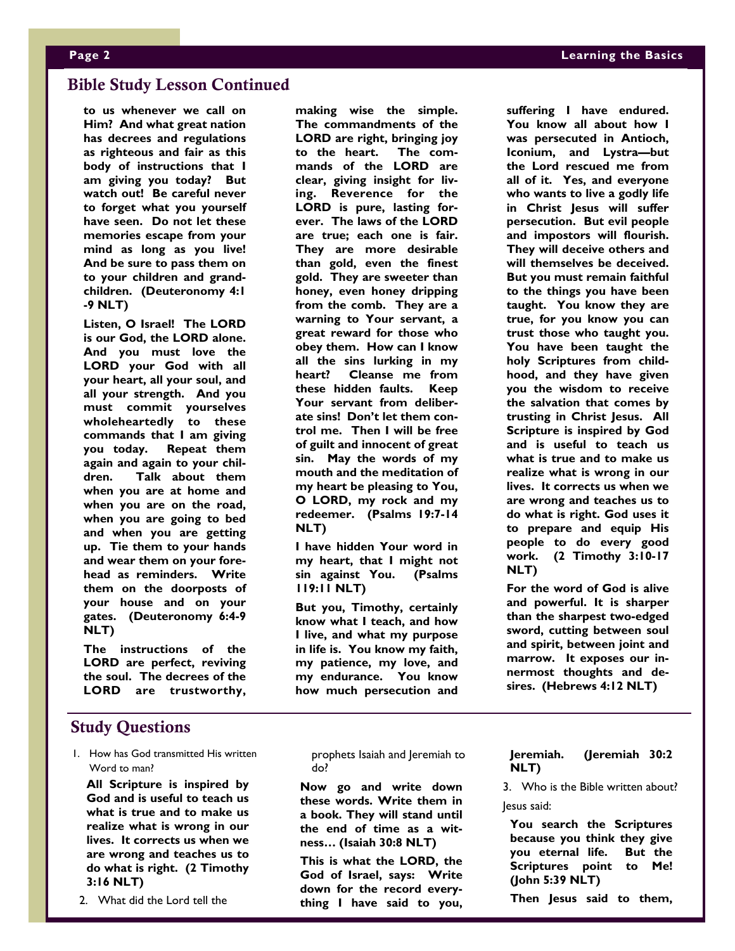# Bible Study Lesson Continued

**to us whenever we call on Him? And what great nation has decrees and regulations as righteous and fair as this body of instructions that I am giving you today? But watch out! Be careful never to forget what you yourself have seen. Do not let these memories escape from your mind as long as you live! And be sure to pass them on to your children and grandchildren. (Deuteronomy 4:1 -9 NLT)** 

**Listen, O Israel! The LORD is our God, the LORD alone. And you must love the LORD your God with all your heart, all your soul, and all your strength. And you must commit yourselves wholeheartedly to these commands that I am giving you today. Repeat them again and again to your children. Talk about them when you are at home and when you are on the road, when you are going to bed and when you are getting up. Tie them to your hands and wear them on your forehead as reminders. Write them on the doorposts of your house and on your gates. (Deuteronomy 6:4-9 NLT)** 

**The instructions of the LORD are perfect, reviving the soul. The decrees of the LORD are trustworthy,** 

Study Questions

1. How has God transmitted His written Word to man?

**All Scripture is inspired by God and is useful to teach us what is true and to make us realize what is wrong in our lives. It corrects us when we are wrong and teaches us to do what is right. (2 Timothy 3:16 NLT)** 

2. What did the Lord tell the

**making wise the simple. The commandments of the LORD are right, bringing joy to the heart. The commands of the LORD are clear, giving insight for living. Reverence for the LORD is pure, lasting forever. The laws of the LORD are true; each one is fair. They are more desirable than gold, even the finest gold. They are sweeter than honey, even honey dripping from the comb. They are a warning to Your servant, a great reward for those who obey them. How can I know all the sins lurking in my heart? Cleanse me from these hidden faults. Keep Your servant from deliberate sins! Don't let them control me. Then I will be free of guilt and innocent of great sin. May the words of my mouth and the meditation of my heart be pleasing to You, O LORD, my rock and my redeemer. (Psalms 19:7-14 NLT)** 

**I have hidden Your word in my heart, that I might not sin against You. (Psalms 119:11 NLT)** 

**But you, Timothy, certainly know what I teach, and how I live, and what my purpose in life is. You know my faith, my patience, my love, and my endurance. You know how much persecution and** 

**suffering I have endured. You know all about how I was persecuted in Antioch, Iconium, and Lystra—but the Lord rescued me from all of it. Yes, and everyone who wants to live a godly life in Christ Jesus will suffer persecution. But evil people and impostors will flourish. They will deceive others and will themselves be deceived. But you must remain faithful to the things you have been taught. You know they are true, for you know you can trust those who taught you. You have been taught the holy Scriptures from childhood, and they have given you the wisdom to receive the salvation that comes by trusting in Christ Jesus. All Scripture is inspired by God and is useful to teach us what is true and to make us realize what is wrong in our lives. It corrects us when we are wrong and teaches us to do what is right. God uses it to prepare and equip His people to do every good work. (2 Timothy 3:10-17 NLT)** 

**For the word of God is alive and powerful. It is sharper than the sharpest two-edged sword, cutting between soul and spirit, between joint and marrow. It exposes our innermost thoughts and desires. (Hebrews 4:12 NLT)** 

prophets Isaiah and Jeremiah to do?

**Now go and write down these words. Write them in a book. They will stand until the end of time as a witness… (Isaiah 30:8 NLT)** 

**This is what the LORD, the God of Israel, says: Write down for the record everything I have said to you,**  **Jeremiah. (Jeremiah 30:2 NLT)** 

3. Who is the Bible written about?

Jesus said:

**You search the Scriptures because you think they give you eternal life. But the Scriptures point to Me! (John 5:39 NLT)** 

**Then Jesus said to them,**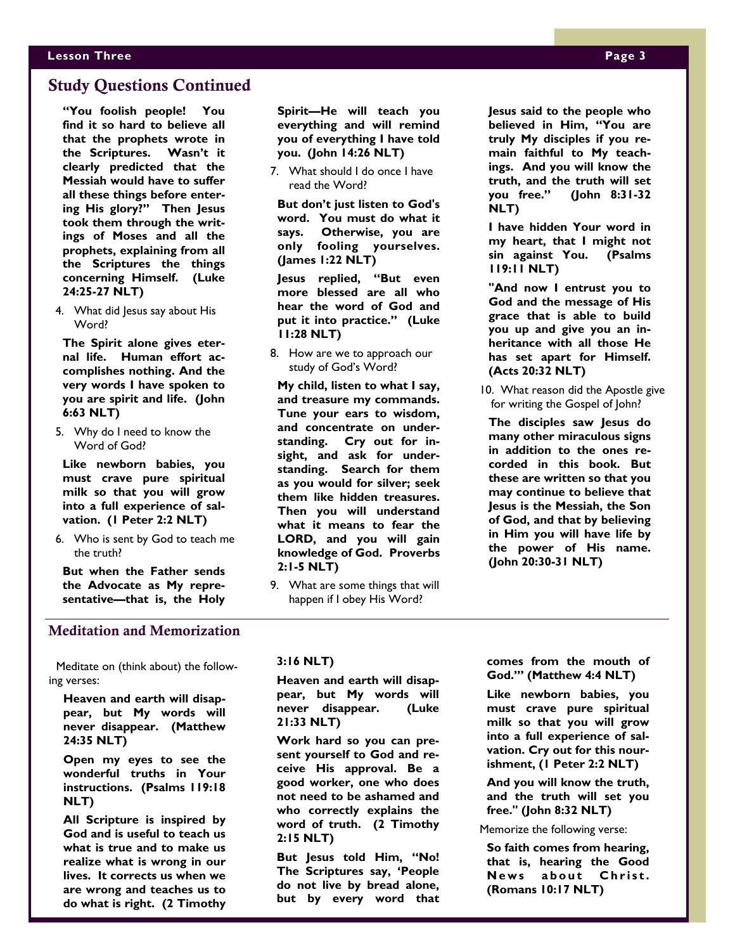# Study Questions Continued

**"You foolish people! You find it so hard to believe all that the prophets wrote in the Scriptures. Wasn't it clearly predicted that the Messiah would have to suffer all these things before entering His glory?" Then Jesus took them through the writings of Moses and all the prophets, explaining from all the Scriptures the things concerning Himself. (Luke 24:25-27 NLT)** 

4. What did Jesus say about His Word?

**The Spirit alone gives eternal life. Human effort accomplishes nothing. And the very words I have spoken to you are spirit and life. (John 6:63 NLT)** 

5. Why do I need to know the Word of God?

**Like newborn babies, you must crave pure spiritual milk so that you will grow into a full experience of salvation. (1 Peter 2:2 NLT)** 

6. Who is sent by God to teach me the truth?

**But when the Father sends the Advocate as My representative—that is, the Holy** 

Meditation and Memorization

Meditate on (think about) the following verses:

**Heaven and earth will disappear, but My words will never disappear. (Matthew 24:35 NLT)** 

**Open my eyes to see the wonderful truths in Your instructions. (Psalms 119:18 NLT)** 

**All Scripture is inspired by God and is useful to teach us what is true and to make us realize what is wrong in our lives. It corrects us when we are wrong and teaches us to do what is right. (2 Timothy**  **Spirit—He will teach you everything and will remind you of everything I have told you. (John 14:26 NLT)** 

7. What should I do once I have read the Word?

**But don't just listen to God's word. You must do what it says. Otherwise, you are only fooling yourselves. (James 1:22 NLT)** 

**Jesus replied, "But even more blessed are all who hear the word of God and put it into practice." (Luke 11:28 NLT)** 

8. How are we to approach our study of God's Word?

**My child, listen to what I say, and treasure my commands. Tune your ears to wisdom, and concentrate on understanding. Cry out for insight, and ask for understanding. Search for them as you would for silver; seek them like hidden treasures. Then you will understand what it means to fear the LORD, and you will gain knowledge of God. Proverbs 2:1-5 NLT)** 

9. What are some things that will happen if I obey His Word?

**Jesus said to the people who believed in Him, "You are truly My disciples if you remain faithful to My teachings. And you will know the truth, and the truth will set you free." (John 8:31-32 NLT)** 

**I have hidden Your word in my heart, that I might not sin against You. (Psalms 119:11 NLT)** 

**"And now I entrust you to God and the message of His grace that is able to build you up and give you an inheritance with all those He has set apart for Himself. (Acts 20:32 NLT)** 

10. What reason did the Apostle give for writing the Gospel of John?

**The disciples saw Jesus do many other miraculous signs in addition to the ones recorded in this book. But these are written so that you may continue to believe that Jesus is the Messiah, the Son of God, and that by believing in Him you will have life by the power of His name. (John 20:30-31 NLT)** 

#### **3:16 NLT)**

**Heaven and earth will disappear, but My words will never disappear. (Luke 21:33 NLT)** 

**Work hard so you can present yourself to God and receive His approval. Be a good worker, one who does not need to be ashamed and who correctly explains the word of truth. (2 Timothy 2:15 NLT)** 

**But Jesus told Him, "No! The Scriptures say, 'People do not live by bread alone, but by every word that**  **comes from the mouth of God.'" (Matthew 4:4 NLT)** 

**Like newborn babies, you must crave pure spiritual milk so that you will grow into a full experience of salvation. Cry out for this nourishment, (1 Peter 2:2 NLT)** 

**And you will know the truth, and the truth will set you free." (John 8:32 NLT)** 

Memorize the following verse:

**So faith comes from hearing, that is, hearing the Good News** about Christ. **(Romans 10:17 NLT)**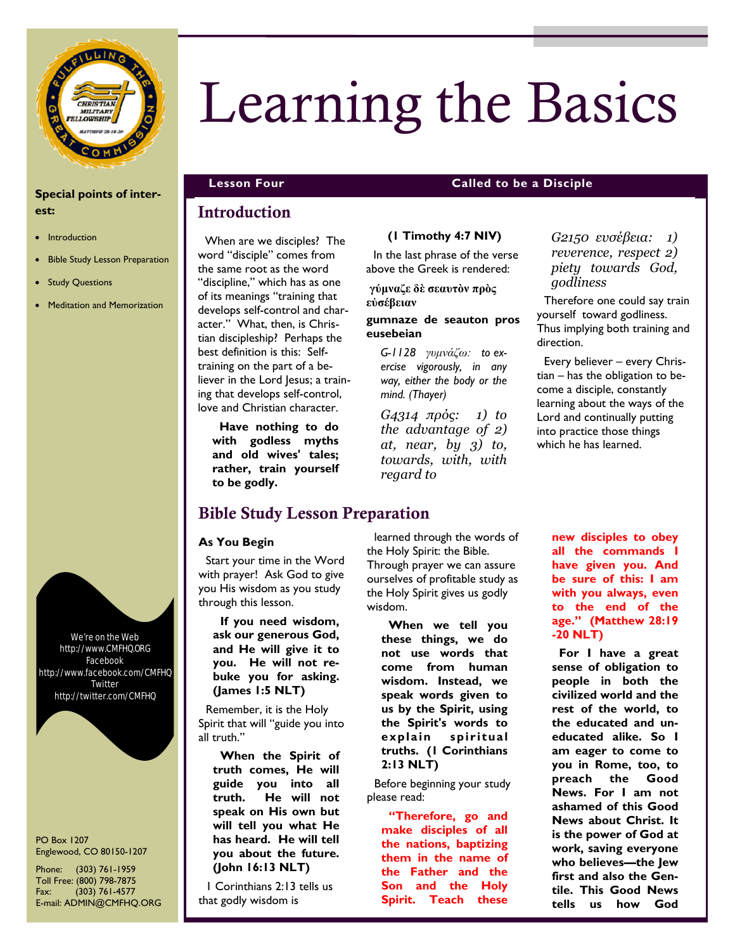![](_page_12_Picture_0.jpeg)

- Introduction
- Bible Study Lesson Preparation
- Study Questions
- Meditation and Memorization

![](_page_12_Picture_6.jpeg)

PO Box 1207 Englewood, CO 80150-1207

Phone: (303) 761-1959 Toll Free: (800) 798-7875 Fax: (303) 761-4577 E-mail: ADMIN@CMFHQ.ORG

# Learning the Basics

#### **Lesson Four Called to be a Disciple <b>Called** to be a Disciple

# **Introduction**

When are we disciples? The word "disciple" comes from the same root as the word "discipline," which has as one of its meanings "training that develops self-control and character." What, then, is Christian discipleship? Perhaps the best definition is this: Selftraining on the part of a believer in the Lord Jesus; a training that develops self-control, love and Christian character.

**Have nothing to do with godless myths and old wives' tales; rather, train yourself to be godly.** 

# **(1 Timothy 4:7 NIV)**

In the last phrase of the verse above the Greek is rendered:

**γύμναζε δὲ σεαυτὸν πρὸς εὐσέβειαν**

#### **gumnaze de seauton pros eusebeian**

*G-1128 γυμνάζω: to exercise vigorously, in any way, either the body or the mind. (Thayer)* 

*G4314 πρός: 1) to the advantage of 2) at, near, by 3) to, towards, with, with regard to* 

## *G2150 ευσέβεια: 1) reverence, respect 2) piety towards God, godliness*

Therefore one could say train yourself toward godliness. Thus implying both training and direction.

Every believer – every Christian – has the obligation to become a disciple, constantly learning about the ways of the Lord and continually putting into practice those things which he has learned.

# Bible Study Lesson Preparation

### **As You Begin**

Start your time in the Word with prayer! Ask God to give you His wisdom as you study through this lesson.

**If you need wisdom, ask our generous God, and He will give it to you. He will not rebuke you for asking. (James 1:5 NLT)** 

Remember, it is the Holy Spirit that will "guide you into all truth."

**When the Spirit of truth comes, He will guide you into all truth. He will not speak on His own but will tell you what He has heard. He will tell you about the future. (John 16:13 NLT)** 

1 Corinthians 2:13 tells us that godly wisdom is

learned through the words of the Holy Spirit: the Bible. Through prayer we can assure ourselves of profitable study as the Holy Spirit gives us godly wisdom.

**When we tell you these things, we do not use words that come from human wisdom. Instead, we speak words given to us by the Spirit, using the Spirit's words to explain spiritual truths. (1 Corinthians 2:13 NLT)** 

Before beginning your study please read:

**"Therefore, go and make disciples of all the nations, baptizing them in the name of the Father and the Son and the Holy Spirit. Teach these** 

**new disciples to obey all the commands I have given you. And be sure of this: I am with you always, even to the end of the age." (Matthew 28:19 -20 NLT)** 

**For I have a great sense of obligation to people in both the civilized world and the rest of the world, to the educated and uneducated alike. So I am eager to come to you in Rome, too, to preach the Good News. For I am not ashamed of this Good News about Christ. It is the power of God at work, saving everyone who believes—the Jew first and also the Gentile. This Good News tells us how God**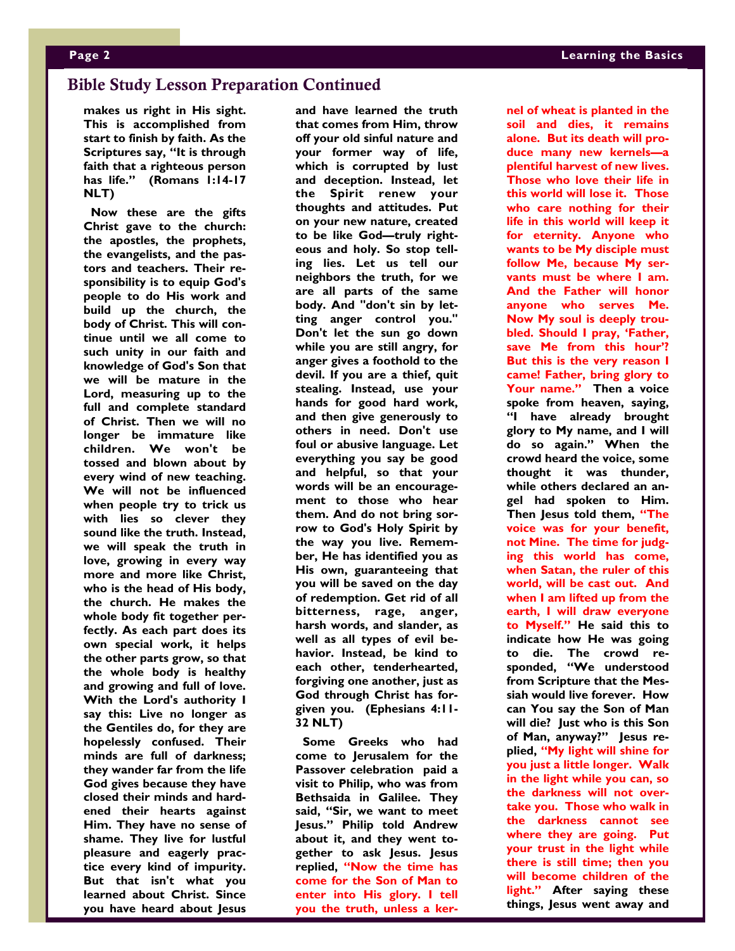**makes us right in His sight. This is accomplished from start to finish by faith. As the Scriptures say, "It is through faith that a righteous person has life." (Romans 1:14-17 NLT)** 

**Now these are the gifts Christ gave to the church: the apostles, the prophets, the evangelists, and the pastors and teachers. Their responsibility is to equip God's people to do His work and build up the church, the body of Christ. This will continue until we all come to such unity in our faith and knowledge of God's Son that we will be mature in the Lord, measuring up to the full and complete standard of Christ. Then we will no longer be immature like children. We won't be tossed and blown about by every wind of new teaching. We will not be influenced when people try to trick us with lies so clever they sound like the truth. Instead, we will speak the truth in love, growing in every way more and more like Christ, who is the head of His body, the church. He makes the whole body fit together perfectly. As each part does its own special work, it helps the other parts grow, so that the whole body is healthy and growing and full of love. With the Lord's authority I say this: Live no longer as the Gentiles do, for they are hopelessly confused. Their minds are full of darkness; they wander far from the life God gives because they have closed their minds and hardened their hearts against Him. They have no sense of shame. They live for lustful pleasure and eagerly practice every kind of impurity. But that isn't what you learned about Christ. Since you have heard about Jesus** 

**and have learned the truth that comes from Him, throw off your old sinful nature and your former way of life, which is corrupted by lust and deception. Instead, let the Spirit renew your thoughts and attitudes. Put on your new nature, created to be like God—truly righteous and holy. So stop telling lies. Let us tell our neighbors the truth, for we are all parts of the same body. And "don't sin by letting anger control you." Don't let the sun go down while you are still angry, for anger gives a foothold to the devil. If you are a thief, quit stealing. Instead, use your hands for good hard work, and then give generously to others in need. Don't use foul or abusive language. Let everything you say be good and helpful, so that your words will be an encouragement to those who hear them. And do not bring sorrow to God's Holy Spirit by the way you live. Remember, He has identified you as His own, guaranteeing that you will be saved on the day of redemption. Get rid of all bitterness, rage, anger, harsh words, and slander, as well as all types of evil behavior. Instead, be kind to each other, tenderhearted, forgiving one another, just as God through Christ has forgiven you. (Ephesians 4:11- 32 NLT)** 

**Some Greeks who had come to Jerusalem for the Passover celebration paid a visit to Philip, who was from Bethsaida in Galilee. They said, "Sir, we want to meet Jesus." Philip told Andrew about it, and they went together to ask Jesus. Jesus replied, "Now the time has come for the Son of Man to enter into His glory. I tell you the truth, unless a ker-**

**nel of wheat is planted in the soil and dies, it remains alone. But its death will produce many new kernels—a plentiful harvest of new lives. Those who love their life in this world will lose it. Those who care nothing for their life in this world will keep it for eternity. Anyone who wants to be My disciple must follow Me, because My servants must be where I am. And the Father will honor anyone who serves Me. Now My soul is deeply troubled. Should I pray, 'Father, save Me from this hour'? But this is the very reason I came! Father, bring glory to Your name." Then a voice spoke from heaven, saying, "I have already brought glory to My name, and I will do so again." When the crowd heard the voice, some thought it was thunder, while others declared an angel had spoken to Him. Then Jesus told them, "The voice was for your benefit, not Mine. The time for judging this world has come, when Satan, the ruler of this world, will be cast out. And when I am lifted up from the earth, I will draw everyone to Myself." He said this to indicate how He was going to die. The crowd responded, "We understood from Scripture that the Messiah would live forever. How can You say the Son of Man will die? Just who is this Son of Man, anyway?" Jesus replied, "My light will shine for you just a little longer. Walk in the light while you can, so the darkness will not overtake you. Those who walk in the darkness cannot see where they are going. Put your trust in the light while there is still time; then you will become children of the light." After saying these things, Jesus went away and**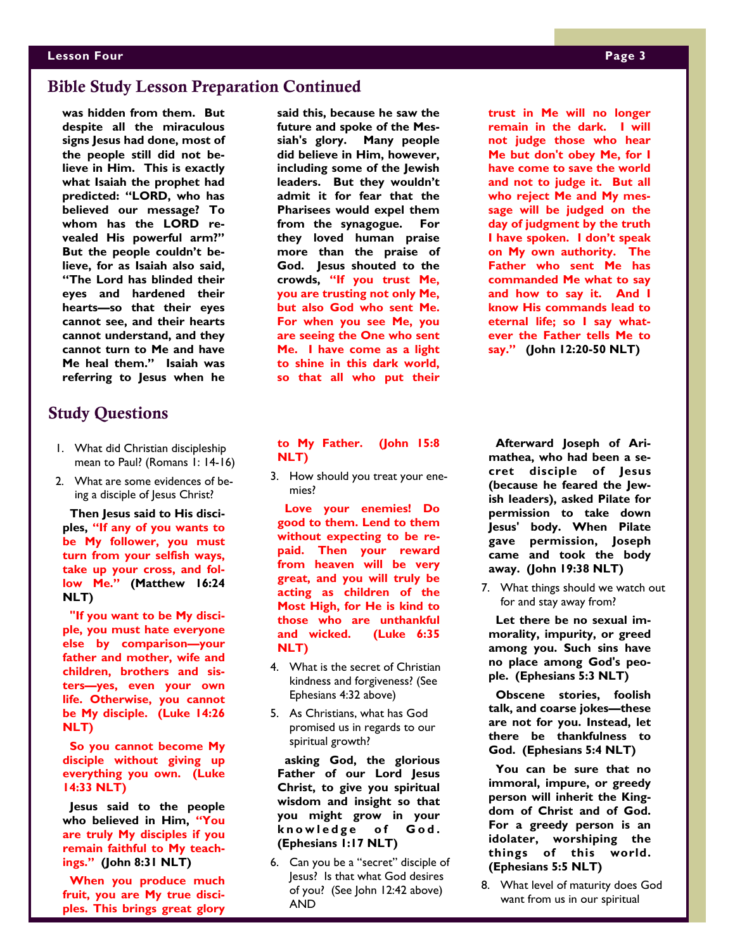#### **Lesson Four Page 3**

# Bible Study Lesson Preparation Continued

**was hidden from them. But despite all the miraculous signs Jesus had done, most of the people still did not believe in Him. This is exactly what Isaiah the prophet had predicted: "LORD, who has believed our message? To whom has the LORD revealed His powerful arm?" But the people couldn't believe, for as Isaiah also said, "The Lord has blinded their eyes and hardened their hearts—so that their eyes cannot see, and their hearts cannot understand, and they cannot turn to Me and have Me heal them." Isaiah was referring to Jesus when he** 

# Study Questions

- 1. What did Christian discipleship mean to Paul? (Romans 1: 14-16)
- 2. What are some evidences of being a disciple of Jesus Christ?

**Then Jesus said to His disciples, "If any of you wants to be My follower, you must turn from your selfish ways, take up your cross, and follow Me." (Matthew 16:24 NLT)** 

**"If you want to be My disciple, you must hate everyone else by comparison—your father and mother, wife and children, brothers and sisters—yes, even your own life. Otherwise, you cannot be My disciple. (Luke 14:26 NLT)** 

**So you cannot become My disciple without giving up everything you own. (Luke 14:33 NLT)** 

**Jesus said to the people who believed in Him, "You are truly My disciples if you remain faithful to My teachings." (John 8:31 NLT)** 

**When you produce much fruit, you are My true disciples. This brings great glory**  **said this, because he saw the future and spoke of the Messiah's glory. Many people did believe in Him, however, including some of the Jewish leaders. But they wouldn't admit it for fear that the Pharisees would expel them from the synagogue. For they loved human praise more than the praise of God. Jesus shouted to the crowds, "If you trust Me, you are trusting not only Me, but also God who sent Me. For when you see Me, you are seeing the One who sent Me. I have come as a light to shine in this dark world, so that all who put their** 

**trust in Me will no longer remain in the dark. I will not judge those who hear Me but don't obey Me, for I have come to save the world and not to judge it. But all who reject Me and My message will be judged on the day of judgment by the truth I have spoken. I don't speak on My own authority. The Father who sent Me has commanded Me what to say and how to say it. And I know His commands lead to eternal life; so I say whatever the Father tells Me to say." (John 12:20-50 NLT)** 

#### **to My Father. (John 15:8 NLT)**

3. How should you treat your enemies?

**Love your enemies! Do good to them. Lend to them without expecting to be repaid. Then your reward from heaven will be very great, and you will truly be acting as children of the Most High, for He is kind to those who are unthankful and wicked. (Luke 6:35 NLT)** 

- 4. What is the secret of Christian kindness and forgiveness? (See Ephesians 4:32 above)
- 5. As Christians, what has God promised us in regards to our spiritual growth?

**asking God, the glorious Father of our Lord Jesus Christ, to give you spiritual wisdom and insight so that you might grow in your**  knowledge of God. **(Ephesians 1:17 NLT)** 

6. Can you be a "secret" disciple of Jesus? Is that what God desires of you? (See John 12:42 above) AND

**Afterward Joseph of Arimathea, who had been a secret disciple of Jesus (because he feared the Jewish leaders), asked Pilate for permission to take down Jesus' body. When Pilate gave permission, Joseph came and took the body away. (John 19:38 NLT)** 

7. What things should we watch out for and stay away from?

**Let there be no sexual immorality, impurity, or greed among you. Such sins have no place among God's people. (Ephesians 5:3 NLT)** 

**Obscene stories, foolish talk, and coarse jokes—these are not for you. Instead, let there be thankfulness to God. (Ephesians 5:4 NLT)** 

**You can be sure that no immoral, impure, or greedy person will inherit the Kingdom of Christ and of God. For a greedy person is an idolater, worshiping the things of this world. (Ephesians 5:5 NLT)** 

8. What level of maturity does God want from us in our spiritual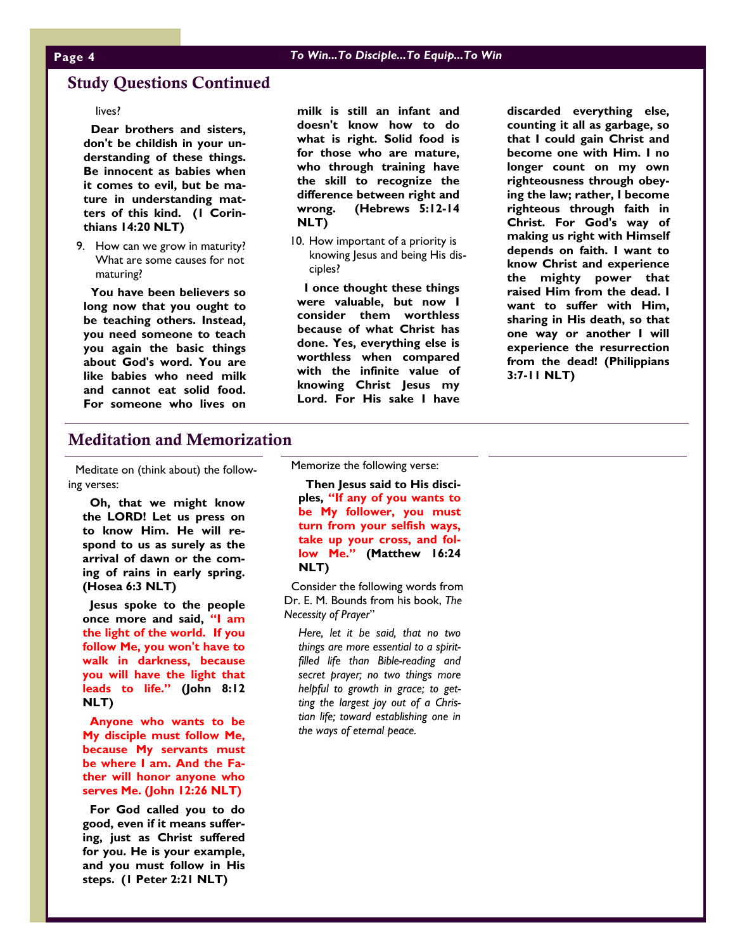# Study Questions Continued

#### lives?

**Dear brothers and sisters, don't be childish in your understanding of these things. Be innocent as babies when it comes to evil, but be mature in understanding matters of this kind. (1 Corinthians 14:20 NLT)** 

9. How can we grow in maturity? What are some causes for not maturing?

**You have been believers so long now that you ought to be teaching others. Instead, you need someone to teach you again the basic things about God's word. You are like babies who need milk and cannot eat solid food. For someone who lives on**  **milk is still an infant and doesn't know how to do what is right. Solid food is for those who are mature, who through training have the skill to recognize the difference between right and wrong. (Hebrews 5:12-14 NLT)** 

10. How important of a priority is knowing Jesus and being His disciples?

**I once thought these things were valuable, but now I consider them worthless because of what Christ has done. Yes, everything else is worthless when compared with the infinite value of knowing Christ Jesus my Lord. For His sake I have** 

**discarded everything else, counting it all as garbage, so that I could gain Christ and become one with Him. I no longer count on my own righteousness through obeying the law; rather, I become righteous through faith in Christ. For God's way of making us right with Himself depends on faith. I want to know Christ and experience the mighty power that raised Him from the dead. I want to suffer with Him, sharing in His death, so that one way or another I will experience the resurrection from the dead! (Philippians 3:7-11 NLT)** 

# Meditation and Memorization

Meditate on (think about) the following verses:

**Oh, that we might know the LORD! Let us press on to know Him. He will respond to us as surely as the arrival of dawn or the coming of rains in early spring. (Hosea 6:3 NLT)** 

**Jesus spoke to the people once more and said, "I am the light of the world. If you follow Me, you won't have to walk in darkness, because you will have the light that leads to life." (John 8:12 NLT)** 

**Anyone who wants to be My disciple must follow Me, because My servants must be where I am. And the Father will honor anyone who serves Me. (John 12:26 NLT)** 

**For God called you to do good, even if it means suffering, just as Christ suffered for you. He is your example, and you must follow in His steps. (1 Peter 2:21 NLT)** 

Memorize the following verse:

**Then Jesus said to His disciples, "If any of you wants to be My follower, you must turn from your selfish ways, take up your cross, and follow Me." (Matthew 16:24 NLT)** 

Consider the following words from Dr. E. M. Bounds from his book, *The Necessity of Prayer*"

*Here, let it be said, that no two things are more essential to a spiritfilled life than Bible-reading and secret prayer; no two things more helpful to growth in grace; to getting the largest joy out of a Christian life; toward establishing one in the ways of eternal peace.* 

#### **Page 4**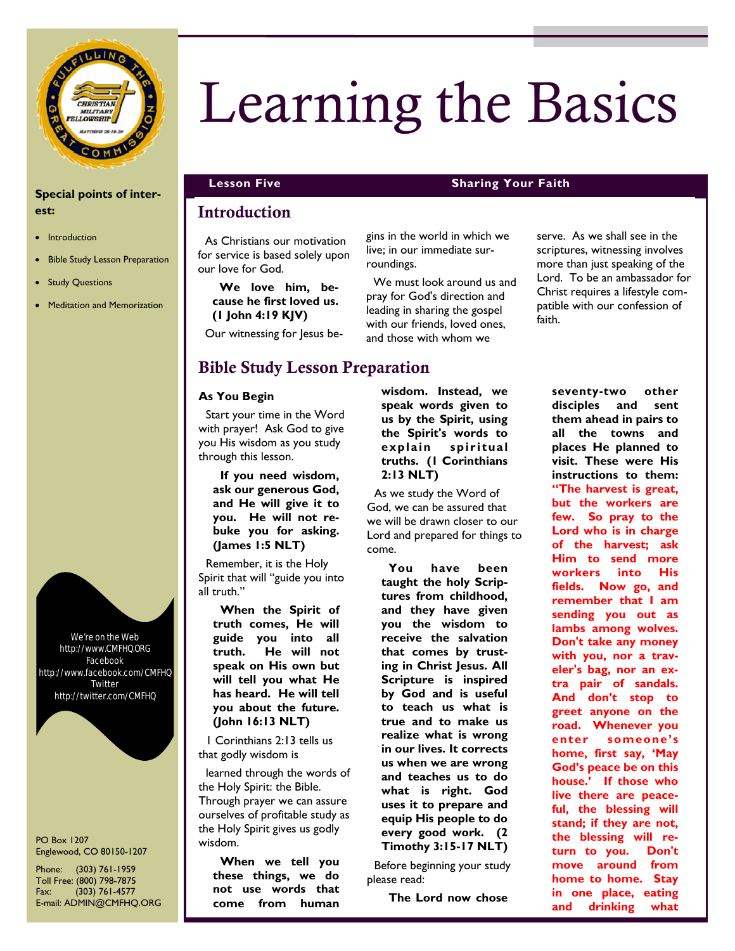![](_page_16_Picture_0.jpeg)

- Introduction
- Bible Study Lesson Preparation
- Study Questions
- Meditation and Memorization

![](_page_16_Picture_6.jpeg)

PO Box 1207 Englewood, CO 80150-1207

Phone: (303) 761-1959 Toll Free: (800) 798-7875 Fax: (303) 761-4577 E-mail: ADMIN@CMFHQ.ORG

# Learning the Basics

#### **Lesson Five Sharing Your Faith**

# **Introduction**

As Christians our motivation for service is based solely upon our love for God.

**We love him, because he first loved us. (1 John 4:19 KJV)** 

Our witnessing for Jesus be-

# Bible Study Lesson Preparation

#### **As You Begin**

Start your time in the Word with prayer! Ask God to give you His wisdom as you study through this lesson.

**If you need wisdom, ask our generous God, and He will give it to you. He will not rebuke you for asking. (James 1:5 NLT)** 

Remember, it is the Holy Spirit that will "guide you into all truth."

**When the Spirit of truth comes, He will guide you into all truth. He will not speak on His own but will tell you what He has heard. He will tell you about the future. (John 16:13 NLT)** 

1 Corinthians 2:13 tells us that godly wisdom is

learned through the words of the Holy Spirit: the Bible. Through prayer we can assure ourselves of profitable study as the Holy Spirit gives us godly wisdom.

**When we tell you these things, we do not use words that come from human** 

leading in sharing the gospel with our friends, loved ones, and those with whom we

We must look around us and pray for God's direction and

gins in the world in which we live; in our immediate sur-

roundings.

**wisdom. Instead, we speak words given to us by the Spirit, using the Spirit's words to explain spiritual truths. (1 Corinthians 2:13 NLT)** 

As we study the Word of God, we can be assured that we will be drawn closer to our Lord and prepared for things to come.

**You have been taught the holy Scriptures from childhood, and they have given you the wisdom to receive the salvation that comes by trusting in Christ Jesus. All Scripture is inspired by God and is useful to teach us what is true and to make us realize what is wrong in our lives. It corrects us when we are wrong and teaches us to do what is right. God uses it to prepare and equip His people to do every good work. (2 Timothy 3:15-17 NLT)** 

Before beginning your study please read:

**The Lord now chose** 

serve. As we shall see in the scriptures, witnessing involves more than just speaking of the Lord. To be an ambassador for Christ requires a lifestyle compatible with our confession of faith.

**seventy-two other disciples and sent them ahead in pairs to all the towns and places He planned to visit. These were His instructions to them: "The harvest is great, but the workers are few. So pray to the Lord who is in charge of the harvest; ask Him to send more workers into His fields. Now go, and remember that I am sending you out as lambs among wolves. Don't take any money with you, nor a traveler's bag, nor an extra pair of sandals. And don't stop to greet anyone on the road. Whenever you enter someone's home, first say, 'May God's peace be on this house.' If those who live there are peaceful, the blessing will stand; if they are not, the blessing will return to you. Don't move around from home to home. Stay in one place, eating and drinking what**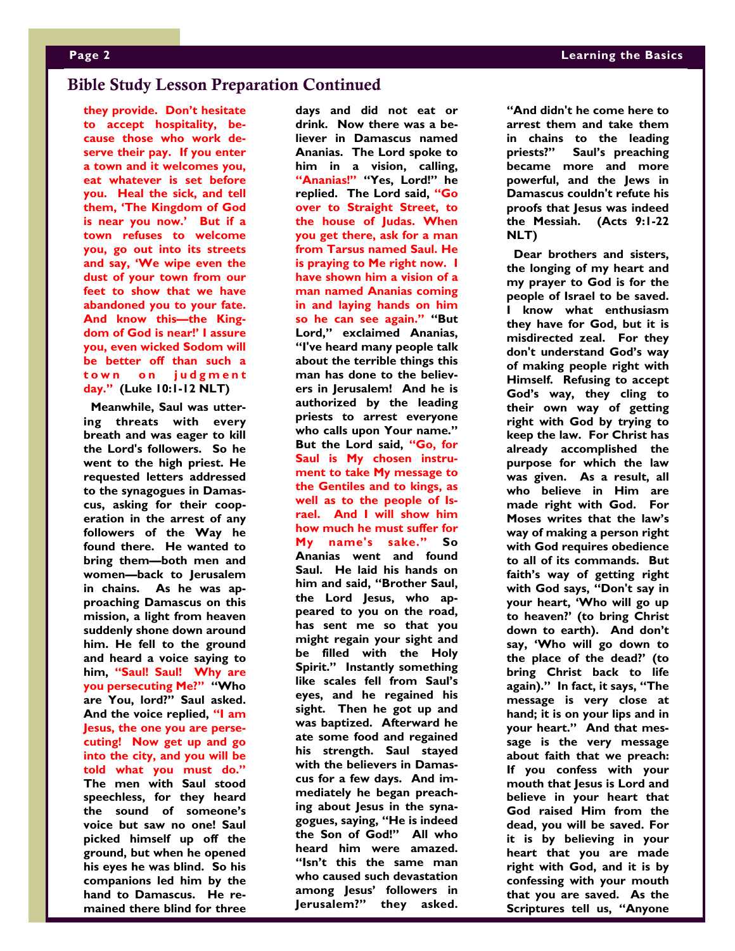**they provide. Don't hesitate to accept hospitality, because those who work deserve their pay. If you enter a town and it welcomes you, eat whatever is set before you. Heal the sick, and tell them, 'The Kingdom of God is near you now.' But if a town refuses to welcome you, go out into its streets and say, 'We wipe even the dust of your town from our feet to show that we have abandoned you to your fate. And know this—the Kingdom of God is near!' I assure you, even wicked Sodom will be better off than such a town on judgment day." (Luke 10:1-12 NLT)** 

**Meanwhile, Saul was uttering threats with every breath and was eager to kill the Lord's followers. So he went to the high priest. He requested letters addressed to the synagogues in Damascus, asking for their cooperation in the arrest of any followers of the Way he found there. He wanted to bring them—both men and women—back to Jerusalem in chains. As he was approaching Damascus on this mission, a light from heaven suddenly shone down around him. He fell to the ground and heard a voice saying to him, "Saul! Saul! Why are you persecuting Me?" "Who are You, lord?" Saul asked. And the voice replied, "I am Jesus, the one you are persecuting! Now get up and go into the city, and you will be told what you must do." The men with Saul stood speechless, for they heard the sound of someone's voice but saw no one! Saul picked himself up off the ground, but when he opened his eyes he was blind. So his companions led him by the hand to Damascus. He remained there blind for three** 

**days and did not eat or drink. Now there was a believer in Damascus named Ananias. The Lord spoke to him in a vision, calling, "Ananias!" "Yes, Lord!" he replied. The Lord said, "Go over to Straight Street, to the house of Judas. When you get there, ask for a man from Tarsus named Saul. He is praying to Me right now. I have shown him a vision of a man named Ananias coming in and laying hands on him so he can see again." "But Lord," exclaimed Ananias, "I've heard many people talk about the terrible things this man has done to the believers in Jerusalem! And he is authorized by the leading priests to arrest everyone who calls upon Your name." But the Lord said, "Go, for Saul is My chosen instrument to take My message to the Gentiles and to kings, as well as to the people of Israel. And I will show him how much he must suffer for My name's sake." So Ananias went and found Saul. He laid his hands on him and said, "Brother Saul, the Lord Jesus, who appeared to you on the road, has sent me so that you might regain your sight and be filled with the Holy Spirit." Instantly something like scales fell from Saul's eyes, and he regained his sight. Then he got up and was baptized. Afterward he ate some food and regained his strength. Saul stayed with the believers in Damascus for a few days. And immediately he began preaching about Jesus in the synagogues, saying, "He is indeed the Son of God!" All who heard him were amazed. "Isn't this the same man who caused such devastation among Jesus' followers in Jerusalem?" they asked.** 

**"And didn't he come here to arrest them and take them in chains to the leading priests?" Saul's preaching became more and more powerful, and the Jews in Damascus couldn't refute his proofs that Jesus was indeed the Messiah. (Acts 9:1-22 NLT)** 

**Dear brothers and sisters, the longing of my heart and my prayer to God is for the people of Israel to be saved. I know what enthusiasm they have for God, but it is misdirected zeal. For they don't understand God's way of making people right with Himself. Refusing to accept God's way, they cling to their own way of getting right with God by trying to keep the law. For Christ has already accomplished the purpose for which the law was given. As a result, all who believe in Him are made right with God. For Moses writes that the law's way of making a person right with God requires obedience to all of its commands. But faith's way of getting right with God says, "Don't say in your heart, 'Who will go up to heaven?' (to bring Christ down to earth). And don't say, 'Who will go down to the place of the dead?' (to bring Christ back to life again)." In fact, it says, "The message is very close at hand; it is on your lips and in your heart." And that message is the very message about faith that we preach: If you confess with your mouth that Jesus is Lord and believe in your heart that God raised Him from the dead, you will be saved. For it is by believing in your heart that you are made right with God, and it is by confessing with your mouth that you are saved. As the Scriptures tell us, "Anyone**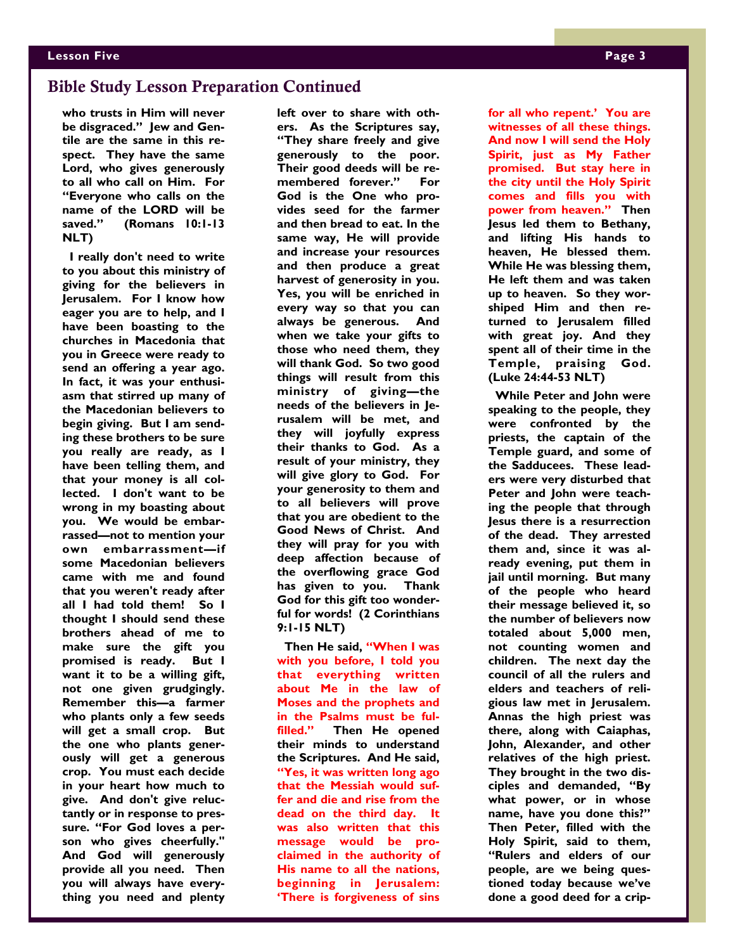**who trusts in Him will never be disgraced." Jew and Gentile are the same in this respect. They have the same Lord, who gives generously to all who call on Him. For "Everyone who calls on the name of the LORD will be saved." (Romans 10:1-13 NLT)** 

**I really don't need to write to you about this ministry of giving for the believers in Jerusalem. For I know how eager you are to help, and I have been boasting to the churches in Macedonia that you in Greece were ready to send an offering a year ago. In fact, it was your enthusiasm that stirred up many of the Macedonian believers to begin giving. But I am sending these brothers to be sure you really are ready, as I have been telling them, and that your money is all collected. I don't want to be wrong in my boasting about you. We would be embarrassed—not to mention your own embarrassment—if some Macedonian believers came with me and found that you weren't ready after all I had told them! So I thought I should send these brothers ahead of me to make sure the gift you promised is ready. But I want it to be a willing gift, not one given grudgingly. Remember this—a farmer who plants only a few seeds will get a small crop. But the one who plants generously will get a generous crop. You must each decide in your heart how much to give. And don't give reluctantly or in response to pressure. "For God loves a person who gives cheerfully." And God will generously provide all you need. Then you will always have everything you need and plenty**  **left over to share with others. As the Scriptures say, "They share freely and give generously to the poor. Their good deeds will be remembered forever." For God is the One who provides seed for the farmer and then bread to eat. In the same way, He will provide and increase your resources and then produce a great harvest of generosity in you. Yes, you will be enriched in every way so that you can always be generous. And when we take your gifts to those who need them, they will thank God. So two good things will result from this ministry of giving—the needs of the believers in Jerusalem will be met, and they will joyfully express their thanks to God. As a result of your ministry, they will give glory to God. For your generosity to them and to all believers will prove that you are obedient to the Good News of Christ. And they will pray for you with deep affection because of the overflowing grace God has given to you. Thank God for this gift too wonderful for words! (2 Corinthians 9:1-15 NLT)** 

**Then He said, "When I was with you before, I told you that everything written about Me in the law of Moses and the prophets and in the Psalms must be fulfilled." Then He opened their minds to understand the Scriptures. And He said, "Yes, it was written long ago that the Messiah would suffer and die and rise from the dead on the third day. It was also written that this message would be proclaimed in the authority of His name to all the nations, beginning in Jerusalem: 'There is forgiveness of sins** 

**for all who repent.' You are witnesses of all these things. And now I will send the Holy Spirit, just as My Father promised. But stay here in the city until the Holy Spirit comes and fills you with power from heaven." Then Jesus led them to Bethany, and lifting His hands to heaven, He blessed them. While He was blessing them, He left them and was taken up to heaven. So they worshiped Him and then returned to Jerusalem filled with great joy. And they spent all of their time in the Temple, praising God. (Luke 24:44-53 NLT)** 

**While Peter and John were speaking to the people, they were confronted by the priests, the captain of the Temple guard, and some of the Sadducees. These leaders were very disturbed that Peter and John were teaching the people that through Jesus there is a resurrection of the dead. They arrested them and, since it was already evening, put them in jail until morning. But many of the people who heard their message believed it, so the number of believers now totaled about 5,000 men, not counting women and children. The next day the council of all the rulers and elders and teachers of religious law met in Jerusalem. Annas the high priest was there, along with Caiaphas, John, Alexander, and other relatives of the high priest. They brought in the two disciples and demanded, "By what power, or in whose name, have you done this?" Then Peter, filled with the Holy Spirit, said to them, "Rulers and elders of our people, are we being questioned today because we've done a good deed for a crip-**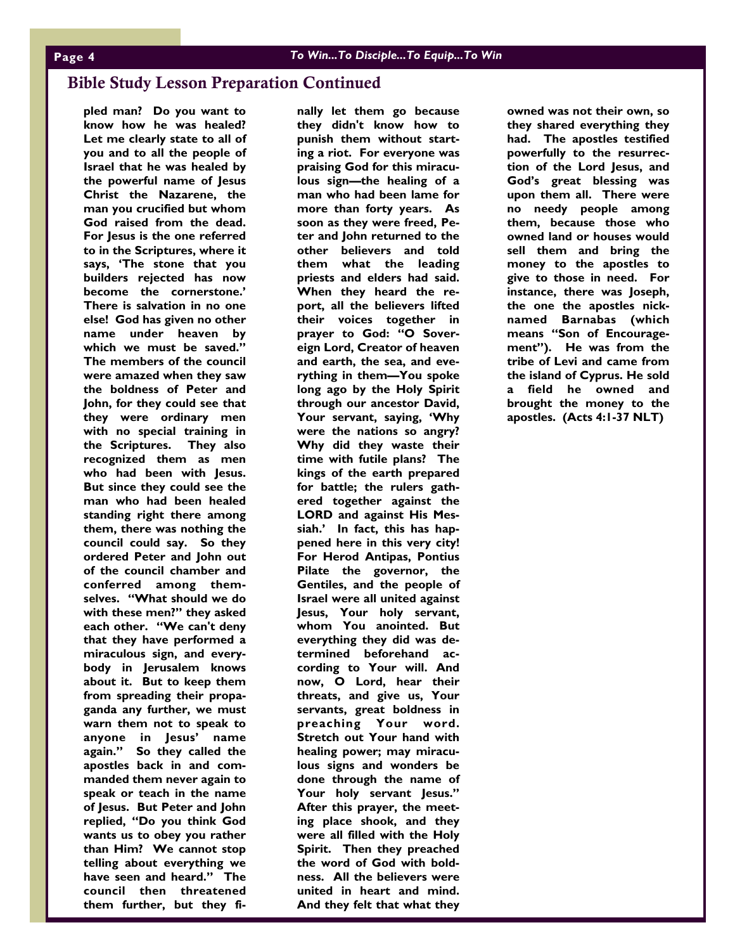**pled man? Do you want to know how he was healed? Let me clearly state to all of you and to all the people of Israel that he was healed by the powerful name of Jesus Christ the Nazarene, the man you crucified but whom God raised from the dead. For Jesus is the one referred to in the Scriptures, where it says, 'The stone that you builders rejected has now become the cornerstone.' There is salvation in no one else! God has given no other name under heaven by which we must be saved." The members of the council were amazed when they saw the boldness of Peter and John, for they could see that they were ordinary men with no special training in the Scriptures. They also recognized them as men who had been with Jesus. But since they could see the man who had been healed standing right there among them, there was nothing the council could say. So they ordered Peter and John out of the council chamber and conferred among themselves. "What should we do with these men?" they asked each other. "We can't deny that they have performed a miraculous sign, and everybody in Jerusalem knows about it. But to keep them from spreading their propaganda any further, we must warn them not to speak to anyone in Jesus' name again." So they called the apostles back in and commanded them never again to speak or teach in the name of Jesus. But Peter and John replied, "Do you think God wants us to obey you rather than Him? We cannot stop telling about everything we have seen and heard." The council then threatened them further, but they fi-** **nally let them go because they didn't know how to punish them without starting a riot. For everyone was praising God for this miraculous sign—the healing of a man who had been lame for more than forty years. As soon as they were freed, Peter and John returned to the other believers and told them what the leading priests and elders had said. When they heard the report, all the believers lifted their voices together in prayer to God: "O Sovereign Lord, Creator of heaven and earth, the sea, and everything in them—You spoke long ago by the Holy Spirit through our ancestor David, Your servant, saying, 'Why were the nations so angry? Why did they waste their time with futile plans? The kings of the earth prepared for battle; the rulers gathered together against the LORD and against His Messiah.' In fact, this has happened here in this very city! For Herod Antipas, Pontius Pilate the governor, the Gentiles, and the people of Israel were all united against Jesus, Your holy servant, whom You anointed. But everything they did was determined beforehand according to Your will. And now, O Lord, hear their threats, and give us, Your servants, great boldness in preaching Your word. Stretch out Your hand with healing power; may miraculous signs and wonders be done through the name of Your holy servant Jesus." After this prayer, the meeting place shook, and they were all filled with the Holy Spirit. Then they preached the word of God with boldness. All the believers were united in heart and mind. And they felt that what they** 

**owned was not their own, so they shared everything they had. The apostles testified powerfully to the resurrection of the Lord Jesus, and God's great blessing was upon them all. There were no needy people among them, because those who owned land or houses would sell them and bring the money to the apostles to give to those in need. For instance, there was Joseph, the one the apostles nicknamed Barnabas (which means "Son of Encouragement"). He was from the tribe of Levi and came from the island of Cyprus. He sold a field he owned and brought the money to the apostles. (Acts 4:1-37 NLT)**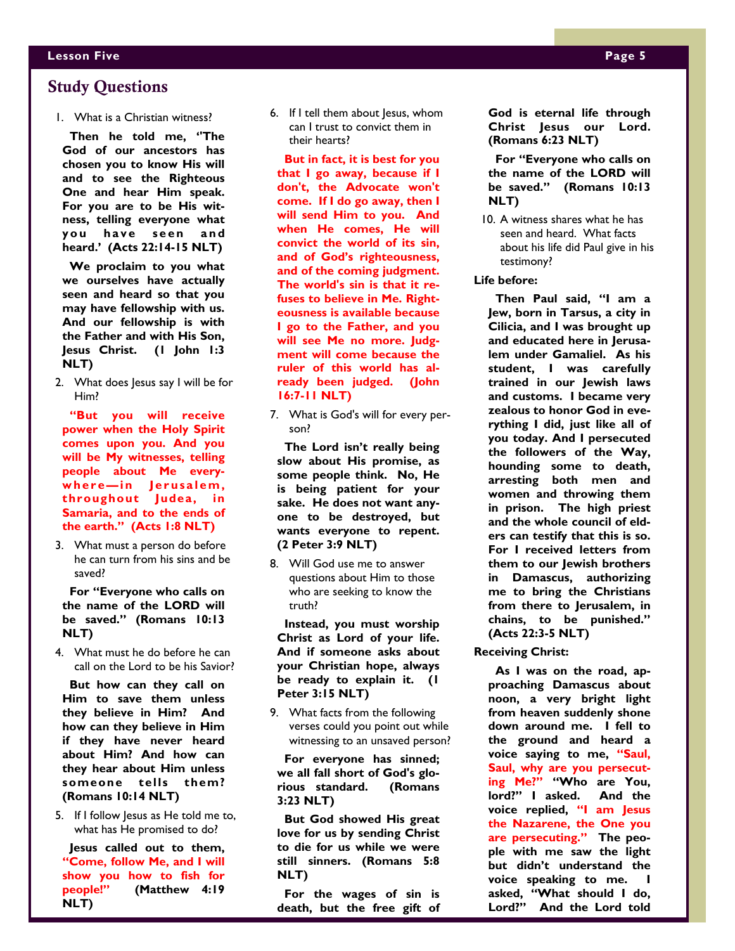# Study Questions

#### 1. What is a Christian witness?

**Then he told me, ''The God of our ancestors has chosen you to know His will and to see the Righteous One and hear Him speak. For you are to be His witness, telling everyone what you have seen and heard.' (Acts 22:14-15 NLT)** 

**We proclaim to you what we ourselves have actually seen and heard so that you may have fellowship with us. And our fellowship is with the Father and with His Son, Jesus Christ. (1 John 1:3 NLT)** 

2. What does Jesus say I will be for Him?

**"But you will receive power when the Holy Spirit comes upon you. And you will be My witnesses, telling people about Me every**where-in **Jerusalem**, **throughout Judea, in Samaria, and to the ends of the earth." (Acts 1:8 NLT)** 

3. What must a person do before he can turn from his sins and be saved?

**For "Everyone who calls on the name of the LORD will be saved." (Romans 10:13 NLT)** 

4. What must he do before he can call on the Lord to be his Savior?

**But how can they call on Him to save them unless they believe in Him? And how can they believe in Him if they have never heard about Him? And how can they hear about Him unless someone tells them? (Romans 10:14 NLT)** 

5. If I follow Jesus as He told me to, what has He promised to do?

**Jesus called out to them, "Come, follow Me, and I will show you how to fish for people!" (Matthew 4:19 NLT)** 

6. If I tell them about Jesus, whom can I trust to convict them in their hearts?

**But in fact, it is best for you that I go away, because if I don't, the Advocate won't come. If I do go away, then I will send Him to you. And when He comes, He will convict the world of its sin, and of God's righteousness, and of the coming judgment. The world's sin is that it refuses to believe in Me. Righteousness is available because I go to the Father, and you will see Me no more. Judgment will come because the ruler of this world has already been judged. (John 16:7-11 NLT)** 

7. What is God's will for every person?

**The Lord isn't really being slow about His promise, as some people think. No, He is being patient for your sake. He does not want anyone to be destroyed, but wants everyone to repent. (2 Peter 3:9 NLT)** 

8. Will God use me to answer questions about Him to those who are seeking to know the truth?

**Instead, you must worship Christ as Lord of your life. And if someone asks about your Christian hope, always be ready to explain it. (1 Peter 3:15 NLT)** 

9. What facts from the following verses could you point out while witnessing to an unsaved person?

**For everyone has sinned; we all fall short of God's glorious standard. (Romans 3:23 NLT)** 

**But God showed His great love for us by sending Christ to die for us while we were still sinners. (Romans 5:8 NLT)** 

**For the wages of sin is death, but the free gift of**  **God is eternal life through Christ Jesus our Lord. (Romans 6:23 NLT)** 

**For "Everyone who calls on the name of the LORD will be saved." (Romans 10:13 NLT)** 

10. A witness shares what he has seen and heard. What facts about his life did Paul give in his testimony?

#### **Life before:**

**Then Paul said, "I am a Jew, born in Tarsus, a city in Cilicia, and I was brought up and educated here in Jerusalem under Gamaliel. As his student, I was carefully trained in our Jewish laws and customs. I became very zealous to honor God in everything I did, just like all of you today. And I persecuted the followers of the Way, hounding some to death, arresting both men and women and throwing them in prison. The high priest and the whole council of elders can testify that this is so. For I received letters from them to our Jewish brothers in Damascus, authorizing me to bring the Christians from there to Jerusalem, in chains, to be punished." (Acts 22:3-5 NLT)** 

#### **Receiving Christ:**

**As I was on the road, approaching Damascus about noon, a very bright light from heaven suddenly shone down around me. I fell to the ground and heard a voice saying to me, "Saul, Saul, why are you persecuting Me?" "Who are You, lord?" I asked. And the voice replied, "I am Jesus the Nazarene, the One you are persecuting." The people with me saw the light but didn't understand the voice speaking to me. I asked, "What should I do, Lord?" And the Lord told**